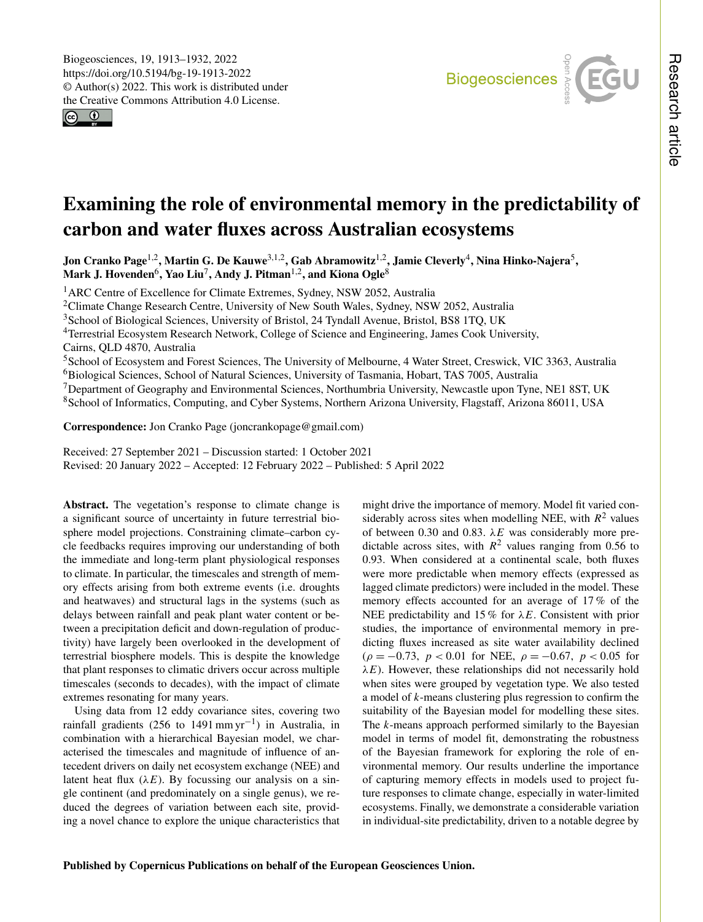$\circledcirc$ 



# Examining the role of environmental memory in the predictability of carbon and water fluxes across Australian ecosystems

Jon Cranko Page<sup>[1,2](#page-0-0)</sup>, Martin G. De Kauwe<sup>[3,1,2](#page-0-0)</sup>, Gab Abramowitz<sup>1,2</sup>, Jamie Cleverly<sup>[4](#page-0-0)</sup>, Nina Hinko-Najera<sup>[5](#page-0-0)</sup>, Mark J. Hovenden $^6$  $^6$ , Yao Liu $^7$  $^7$ , Andy J. Pitman $^{1,2}$  $^{1,2}$  $^{1,2}$ , and Kiona Ogle $^8$  $^8$ 

<sup>1</sup> ARC Centre of Excellence for Climate Extremes, Sydney, NSW 2052, Australia

<sup>2</sup>Climate Change Research Centre, University of New South Wales, Sydney, NSW 2052, Australia

<sup>3</sup>School of Biological Sciences, University of Bristol, 24 Tyndall Avenue, Bristol, BS8 1TQ, UK

<sup>4</sup>Terrestrial Ecosystem Research Network, College of Science and Engineering, James Cook University, Cairns, QLD 4870, Australia

School of Ecosystem and Forest Sciences, The University of Melbourne, 4 Water Street, Creswick, VIC 3363, Australia Biological Sciences, School of Natural Sciences, University of Tasmania, Hobart, TAS 7005, Australia <sup>7</sup>Department of Geography and Environmental Sciences, Northumbria University, Newcastle upon Tyne, NE1 8ST, UK School of Informatics, Computing, and Cyber Systems, Northern Arizona University, Flagstaff, Arizona 86011, USA

Correspondence: Jon Cranko Page (joncrankopage@gmail.com)

Received: 27 September 2021 – Discussion started: 1 October 2021 Revised: 20 January 2022 – Accepted: 12 February 2022 – Published: 5 April 2022

<span id="page-0-0"></span>Abstract. The vegetation's response to climate change is a significant source of uncertainty in future terrestrial biosphere model projections. Constraining climate–carbon cycle feedbacks requires improving our understanding of both the immediate and long-term plant physiological responses to climate. In particular, the timescales and strength of memory effects arising from both extreme events (i.e. droughts and heatwaves) and structural lags in the systems (such as delays between rainfall and peak plant water content or between a precipitation deficit and down-regulation of productivity) have largely been overlooked in the development of terrestrial biosphere models. This is despite the knowledge that plant responses to climatic drivers occur across multiple timescales (seconds to decades), with the impact of climate extremes resonating for many years.

Using data from 12 eddy covariance sites, covering two rainfall gradients (256 to 1491 mm yr<sup>-1</sup>) in Australia, in combination with a hierarchical Bayesian model, we characterised the timescales and magnitude of influence of antecedent drivers on daily net ecosystem exchange (NEE) and latent heat flux  $(\lambda E)$ . By focussing our analysis on a single continent (and predominately on a single genus), we reduced the degrees of variation between each site, providing a novel chance to explore the unique characteristics that

might drive the importance of memory. Model fit varied considerably across sites when modelling NEE, with  $R^2$  values of between 0.30 and 0.83.  $\lambda E$  was considerably more predictable across sites, with  $R^2$  values ranging from 0.56 to 0.93. When considered at a continental scale, both fluxes were more predictable when memory effects (expressed as lagged climate predictors) were included in the model. These memory effects accounted for an average of 17 % of the NEE predictability and 15 % for  $\lambda E$ . Consistent with prior studies, the importance of environmental memory in predicting fluxes increased as site water availability declined  $(\rho = -0.73, p < 0.01$  for NEE,  $\rho = -0.67, p < 0.05$  for  $\lambda E$ ). However, these relationships did not necessarily hold when sites were grouped by vegetation type. We also tested a model of k-means clustering plus regression to confirm the suitability of the Bayesian model for modelling these sites. The k-means approach performed similarly to the Bayesian model in terms of model fit, demonstrating the robustness of the Bayesian framework for exploring the role of environmental memory. Our results underline the importance of capturing memory effects in models used to project future responses to climate change, especially in water-limited ecosystems. Finally, we demonstrate a considerable variation in individual-site predictability, driven to a notable degree by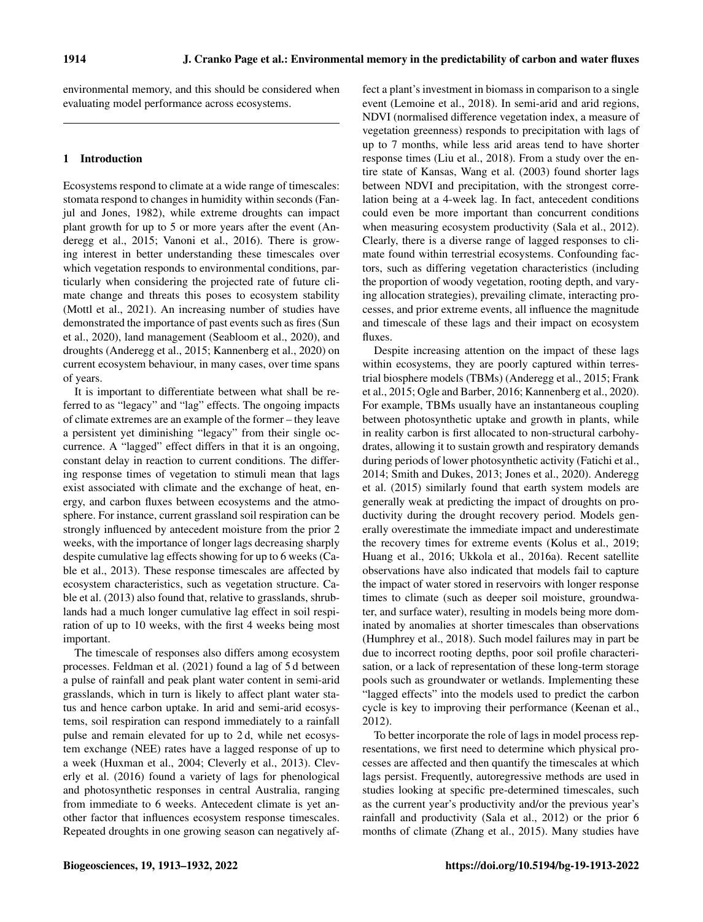environmental memory, and this should be considered when evaluating model performance across ecosystems.

# 1 Introduction

Ecosystems respond to climate at a wide range of timescales: stomata respond to changes in humidity within seconds [\(Fan](#page-16-0)[jul and Jones,](#page-16-0) [1982\)](#page-16-0), while extreme droughts can impact plant growth for up to 5 or more years after the event [\(An](#page-15-0)[deregg et al.,](#page-15-0) [2015;](#page-15-0) [Vanoni et al.,](#page-19-0) [2016\)](#page-19-0). There is growing interest in better understanding these timescales over which vegetation responds to environmental conditions, particularly when considering the projected rate of future climate change and threats this poses to ecosystem stability [\(Mottl et al.,](#page-17-0) [2021\)](#page-17-0). An increasing number of studies have demonstrated the importance of past events such as fires [\(Sun](#page-18-0) [et al.,](#page-18-0) [2020\)](#page-18-0), land management [\(Seabloom et al.,](#page-18-1) [2020\)](#page-18-1), and droughts [\(Anderegg et al.,](#page-15-0) [2015;](#page-15-0) [Kannenberg et al.,](#page-17-1) [2020\)](#page-17-1) on current ecosystem behaviour, in many cases, over time spans of years.

It is important to differentiate between what shall be referred to as "legacy" and "lag" effects. The ongoing impacts of climate extremes are an example of the former – they leave a persistent yet diminishing "legacy" from their single occurrence. A "lagged" effect differs in that it is an ongoing, constant delay in reaction to current conditions. The differing response times of vegetation to stimuli mean that lags exist associated with climate and the exchange of heat, energy, and carbon fluxes between ecosystems and the atmosphere. For instance, current grassland soil respiration can be strongly influenced by antecedent moisture from the prior 2 weeks, with the importance of longer lags decreasing sharply despite cumulative lag effects showing for up to 6 weeks [\(Ca](#page-15-1)[ble et al.,](#page-15-1) [2013\)](#page-15-1). These response timescales are affected by ecosystem characteristics, such as vegetation structure. [Ca](#page-15-1)[ble et al.](#page-15-1) [\(2013\)](#page-15-1) also found that, relative to grasslands, shrublands had a much longer cumulative lag effect in soil respiration of up to 10 weeks, with the first 4 weeks being most important.

The timescale of responses also differs among ecosystem processes. [Feldman et al.](#page-16-1) [\(2021\)](#page-16-1) found a lag of 5 d between a pulse of rainfall and peak plant water content in semi-arid grasslands, which in turn is likely to affect plant water status and hence carbon uptake. In arid and semi-arid ecosystems, soil respiration can respond immediately to a rainfall pulse and remain elevated for up to 2 d, while net ecosystem exchange (NEE) rates have a lagged response of up to a week [\(Huxman et al.,](#page-17-2) [2004;](#page-17-2) [Cleverly et al.,](#page-15-2) [2013\)](#page-15-2). [Clev](#page-15-3)[erly et al.](#page-15-3) [\(2016\)](#page-15-3) found a variety of lags for phenological and photosynthetic responses in central Australia, ranging from immediate to 6 weeks. Antecedent climate is yet another factor that influences ecosystem response timescales. Repeated droughts in one growing season can negatively affect a plant's investment in biomass in comparison to a single event [\(Lemoine et al.,](#page-17-3) [2018\)](#page-17-3). In semi-arid and arid regions, NDVI (normalised difference vegetation index, a measure of vegetation greenness) responds to precipitation with lags of up to 7 months, while less arid areas tend to have shorter response times [\(Liu et al.,](#page-17-4) [2018\)](#page-17-4). From a study over the entire state of Kansas, [Wang et al.](#page-19-1) [\(2003\)](#page-19-1) found shorter lags between NDVI and precipitation, with the strongest correlation being at a 4-week lag. In fact, antecedent conditions could even be more important than concurrent conditions when measuring ecosystem productivity [\(Sala et al.,](#page-18-2) [2012\)](#page-18-2). Clearly, there is a diverse range of lagged responses to climate found within terrestrial ecosystems. Confounding factors, such as differing vegetation characteristics (including the proportion of woody vegetation, rooting depth, and varying allocation strategies), prevailing climate, interacting processes, and prior extreme events, all influence the magnitude and timescale of these lags and their impact on ecosystem fluxes.

Despite increasing attention on the impact of these lags within ecosystems, they are poorly captured within terrestrial biosphere models (TBMs) [\(Anderegg et al.,](#page-15-0) [2015;](#page-15-0) [Frank](#page-16-2) [et al.,](#page-16-2) [2015;](#page-16-2) [Ogle and Barber,](#page-18-3) [2016;](#page-18-3) [Kannenberg et al.,](#page-17-1) [2020\)](#page-17-1). For example, TBMs usually have an instantaneous coupling between photosynthetic uptake and growth in plants, while in reality carbon is first allocated to non-structural carbohydrates, allowing it to sustain growth and respiratory demands during periods of lower photosynthetic activity [\(Fatichi et al.,](#page-16-3) [2014;](#page-16-3) [Smith and Dukes,](#page-18-4) [2013;](#page-18-4) [Jones et al.,](#page-17-5) [2020\)](#page-17-5). [Anderegg](#page-15-0) [et al.](#page-15-0) [\(2015\)](#page-15-0) similarly found that earth system models are generally weak at predicting the impact of droughts on productivity during the drought recovery period. Models generally overestimate the immediate impact and underestimate the recovery times for extreme events [\(Kolus et al.,](#page-17-6) [2019;](#page-17-6) [Huang et al.,](#page-16-4) [2016;](#page-16-4) [Ukkola et al.,](#page-19-2) [2016a\)](#page-19-2). Recent satellite observations have also indicated that models fail to capture the impact of water stored in reservoirs with longer response times to climate (such as deeper soil moisture, groundwater, and surface water), resulting in models being more dominated by anomalies at shorter timescales than observations [\(Humphrey et al.,](#page-16-5) [2018\)](#page-16-5). Such model failures may in part be due to incorrect rooting depths, poor soil profile characterisation, or a lack of representation of these long-term storage pools such as groundwater or wetlands. Implementing these "lagged effects" into the models used to predict the carbon cycle is key to improving their performance [\(Keenan et al.,](#page-17-7) [2012\)](#page-17-7).

To better incorporate the role of lags in model process representations, we first need to determine which physical processes are affected and then quantify the timescales at which lags persist. Frequently, autoregressive methods are used in studies looking at specific pre-determined timescales, such as the current year's productivity and/or the previous year's rainfall and productivity [\(Sala et al.,](#page-18-2) [2012\)](#page-18-2) or the prior 6 months of climate [\(Zhang et al.,](#page-19-3) [2015\)](#page-19-3). Many studies have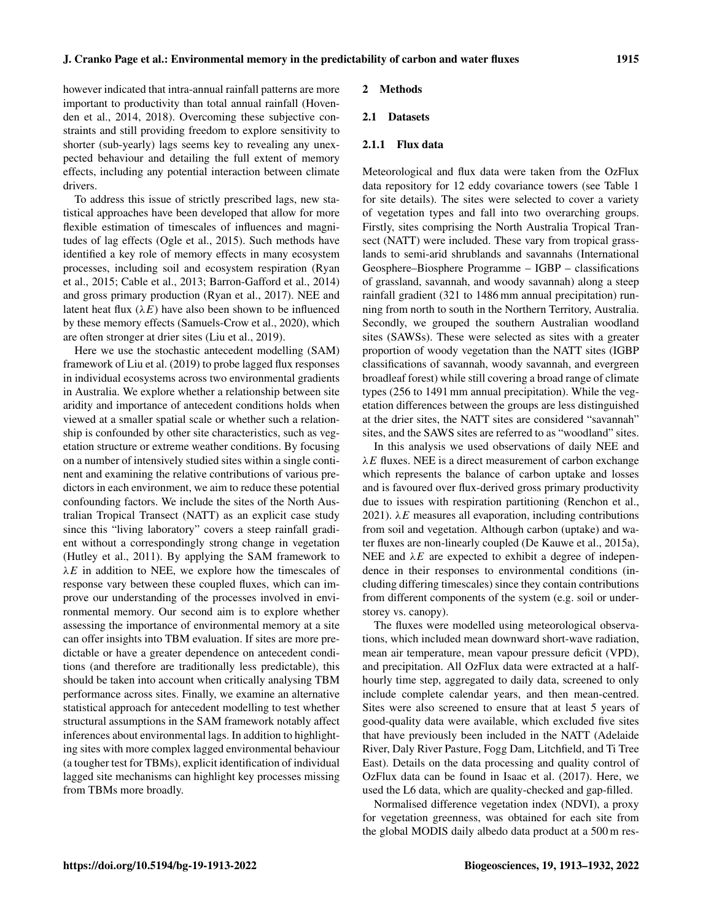however indicated that intra-annual rainfall patterns are more important to productivity than total annual rainfall [\(Hoven](#page-16-6)[den et al.,](#page-16-6) [2014,](#page-16-6) [2018\)](#page-16-7). Overcoming these subjective constraints and still providing freedom to explore sensitivity to shorter (sub-yearly) lags seems key to revealing any unexpected behaviour and detailing the full extent of memory effects, including any potential interaction between climate drivers.

To address this issue of strictly prescribed lags, new statistical approaches have been developed that allow for more flexible estimation of timescales of influences and magnitudes of lag effects [\(Ogle et al.,](#page-18-5) [2015\)](#page-18-5). Such methods have identified a key role of memory effects in many ecosystem processes, including soil and ecosystem respiration [\(Ryan](#page-18-6) [et al.,](#page-18-6) [2015;](#page-18-6) [Cable et al.,](#page-15-1) [2013;](#page-15-1) [Barron-Gafford et al.,](#page-15-4) [2014\)](#page-15-4) and gross primary production [\(Ryan et al.,](#page-18-7) [2017\)](#page-18-7). NEE and latent heat flux  $(\lambda E)$  have also been shown to be influenced by these memory effects [\(Samuels-Crow et al.,](#page-18-8) [2020\)](#page-18-8), which are often stronger at drier sites [\(Liu et al.,](#page-17-8) [2019\)](#page-17-8).

Here we use the stochastic antecedent modelling (SAM) framework of [Liu et al.](#page-17-8) [\(2019\)](#page-17-8) to probe lagged flux responses in individual ecosystems across two environmental gradients in Australia. We explore whether a relationship between site aridity and importance of antecedent conditions holds when viewed at a smaller spatial scale or whether such a relationship is confounded by other site characteristics, such as vegetation structure or extreme weather conditions. By focusing on a number of intensively studied sites within a single continent and examining the relative contributions of various predictors in each environment, we aim to reduce these potential confounding factors. We include the sites of the North Australian Tropical Transect (NATT) as an explicit case study since this "living laboratory" covers a steep rainfall gradient without a correspondingly strong change in vegetation [\(Hutley et al.,](#page-16-8) [2011\)](#page-16-8). By applying the SAM framework to  $\lambda E$  in addition to NEE, we explore how the timescales of response vary between these coupled fluxes, which can improve our understanding of the processes involved in environmental memory. Our second aim is to explore whether assessing the importance of environmental memory at a site can offer insights into TBM evaluation. If sites are more predictable or have a greater dependence on antecedent conditions (and therefore are traditionally less predictable), this should be taken into account when critically analysing TBM performance across sites. Finally, we examine an alternative statistical approach for antecedent modelling to test whether structural assumptions in the SAM framework notably affect inferences about environmental lags. In addition to highlighting sites with more complex lagged environmental behaviour (a tougher test for TBMs), explicit identification of individual lagged site mechanisms can highlight key processes missing from TBMs more broadly.

#### 2 Methods

## 2.1 Datasets

## 2.1.1 Flux data

Meteorological and flux data were taken from the OzFlux data repository for 12 eddy covariance towers (see Table [1](#page-3-0) for site details). The sites were selected to cover a variety of vegetation types and fall into two overarching groups. Firstly, sites comprising the North Australia Tropical Transect (NATT) were included. These vary from tropical grasslands to semi-arid shrublands and savannahs (International Geosphere–Biosphere Programme – IGBP – classifications of grassland, savannah, and woody savannah) along a steep rainfall gradient (321 to 1486 mm annual precipitation) running from north to south in the Northern Territory, Australia. Secondly, we grouped the southern Australian woodland sites (SAWSs). These were selected as sites with a greater proportion of woody vegetation than the NATT sites (IGBP classifications of savannah, woody savannah, and evergreen broadleaf forest) while still covering a broad range of climate types (256 to 1491 mm annual precipitation). While the vegetation differences between the groups are less distinguished at the drier sites, the NATT sites are considered "savannah" sites, and the SAWS sites are referred to as "woodland" sites.

In this analysis we used observations of daily NEE and  $\lambda E$  fluxes. NEE is a direct measurement of carbon exchange which represents the balance of carbon uptake and losses and is favoured over flux-derived gross primary productivity due to issues with respiration partitioning [\(Renchon et al.,](#page-18-9) [2021\)](#page-18-9).  $\lambda E$  measures all evaporation, including contributions from soil and vegetation. Although carbon (uptake) and water fluxes are non-linearly coupled [\(De Kauwe et al.,](#page-16-9) [2015a\)](#page-16-9), NEE and  $\lambda E$  are expected to exhibit a degree of independence in their responses to environmental conditions (including differing timescales) since they contain contributions from different components of the system (e.g. soil or understorey vs. canopy).

The fluxes were modelled using meteorological observations, which included mean downward short-wave radiation, mean air temperature, mean vapour pressure deficit (VPD), and precipitation. All OzFlux data were extracted at a halfhourly time step, aggregated to daily data, screened to only include complete calendar years, and then mean-centred. Sites were also screened to ensure that at least 5 years of good-quality data were available, which excluded five sites that have previously been included in the NATT (Adelaide River, Daly River Pasture, Fogg Dam, Litchfield, and Ti Tree East). Details on the data processing and quality control of OzFlux data can be found in [Isaac et al.](#page-17-9) [\(2017\)](#page-17-9). Here, we used the L6 data, which are quality-checked and gap-filled.

Normalised difference vegetation index (NDVI), a proxy for vegetation greenness, was obtained for each site from the global MODIS daily albedo data product at a 500 m res-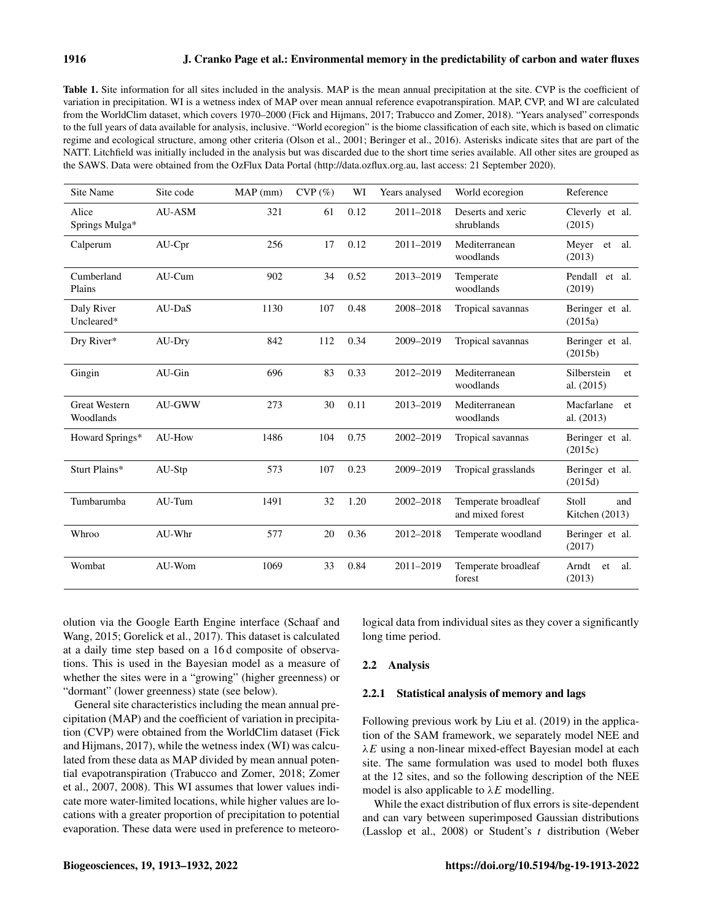<span id="page-3-0"></span>

| Table 1. Site information for all sites included in the analysis. MAP is the mean annual precipitation at the site. CVP is the coefficient of       |
|-----------------------------------------------------------------------------------------------------------------------------------------------------|
| variation in precipitation. WI is a wetness index of MAP over mean annual reference evapotranspiration. MAP, CVP, and WI are calculated             |
| from the WorldClim dataset, which covers 1970–2000 (Fick and Hijmans, 2017; Trabucco and Zomer, 2018). "Years analysed" corresponds                 |
| to the full years of data available for analysis, inclusive. "World ecoregion" is the biome classification of each site, which is based on climatic |
| regime and ecological structure, among other criteria (Olson et al., 2001; Beringer et al., 2016). Asterisks indicate sites that are part of the    |
| NATT. Litchfield was initially included in the analysis but was discarded due to the short time series available. All other sites are grouped as    |
| the SAWS. Data were obtained from the OzFlux Data Portal (http://data.ozflux.org.au, last access: 21 September 2020).                               |

| Site Name                         | Site code     | MAP (mm) | $CVP(\%)$ | WI   | Years analysed | World ecoregion                         | Reference                         |
|-----------------------------------|---------------|----------|-----------|------|----------------|-----------------------------------------|-----------------------------------|
| Alice<br>Springs Mulga*           | AU-ASM        | 321      | 61        | 0.12 | 2011-2018      | Deserts and xeric<br>shrublands         | Cleverly et al.<br>(2015)         |
| Calperum                          | $AU-Cpr$      | 256      | 17        | 0.12 | 2011-2019      | Mediterranean<br>woodlands              | Meyer et<br>al.<br>(2013)         |
| Cumberland<br>Plains              | AU-Cum        | 902      | 34        | 0.52 | 2013-2019      | Temperate<br>woodlands                  | Pendall et al.<br>(2019)          |
| Daly River<br>Uncleared*          | AU-DaS        | 1130     | 107       | 0.48 | 2008-2018      | Tropical savannas                       | Beringer et al.<br>(2015a)        |
| Dry River*                        | AU-Dry        | 842      | 112       | 0.34 | 2009-2019      | Tropical savannas                       | Beringer et al.<br>(2015b)        |
| Gingin                            | AU-Gin        | 696      | 83        | 0.33 | 2012-2019      | Mediterranean<br>woodlands              | Silberstein<br>et<br>al. $(2015)$ |
| <b>Great Western</b><br>Woodlands | <b>AU-GWW</b> | 273      | 30        | 0.11 | 2013-2019      | Mediterranean<br>woodlands              | Macfarlane<br>et<br>al. $(2013)$  |
| Howard Springs*                   | AU-How        | 1486     | 104       | 0.75 | 2002-2019      | Tropical savannas                       | Beringer et al.<br>(2015c)        |
| Sturt Plains*                     | AU-Stp        | 573      | 107       | 0.23 | 2009-2019      | Tropical grasslands                     | Beringer et al.<br>(2015d)        |
| Tumbarumba                        | AU-Tum        | 1491     | 32        | 1.20 | 2002-2018      | Temperate broadleaf<br>and mixed forest | Stoll<br>and<br>Kitchen $(2013)$  |
| Whroo                             | AU-Whr        | 577      | 20        | 0.36 | 2012-2018      | Temperate woodland                      | Beringer et al.<br>(2017)         |
| Wombat                            | AU-Wom        | 1069     | 33        | 0.84 | 2011-2019      | Temperate broadleaf<br>forest           | Arndt<br>al.<br>et<br>(2013)      |

olution via the Google Earth Engine interface [\(Schaaf and](#page-18-14) [Wang,](#page-18-14) [2015;](#page-18-14) [Gorelick et al.,](#page-16-11) [2017\)](#page-16-11). This dataset is calculated at a daily time step based on a 16 d composite of observations. This is used in the Bayesian model as a measure of whether the sites were in a "growing" (higher greenness) or "dormant" (lower greenness) state (see below).

General site characteristics including the mean annual precipitation (MAP) and the coefficient of variation in precipitation (CVP) were obtained from the WorldClim dataset [\(Fick](#page-16-10) [and Hijmans,](#page-16-10) [2017\)](#page-16-10), while the wetness index (WI) was calculated from these data as MAP divided by mean annual potential evapotranspiration [\(Trabucco and Zomer,](#page-19-4) [2018;](#page-19-4) [Zomer](#page-19-5) [et al.,](#page-19-5) [2007,](#page-19-5) [2008\)](#page-19-6). This WI assumes that lower values indicate more water-limited locations, while higher values are locations with a greater proportion of precipitation to potential evaporation. These data were used in preference to meteorological data from individual sites as they cover a significantly long time period.

#### 2.2 Analysis

## 2.2.1 Statistical analysis of memory and lags

Following previous work by [Liu et al.](#page-17-8) [\(2019\)](#page-17-8) in the application of the SAM framework, we separately model NEE and  $\lambda E$  using a non-linear mixed-effect Bayesian model at each site. The same formulation was used to model both fluxes at the 12 sites, and so the following description of the NEE model is also applicable to  $\lambda E$  modelling.

While the exact distribution of flux errors is site-dependent and can vary between superimposed Gaussian distributions [\(Lasslop et al.,](#page-17-12) [2008\)](#page-17-12) or Student's  $t$  distribution [\(Weber](#page-19-7)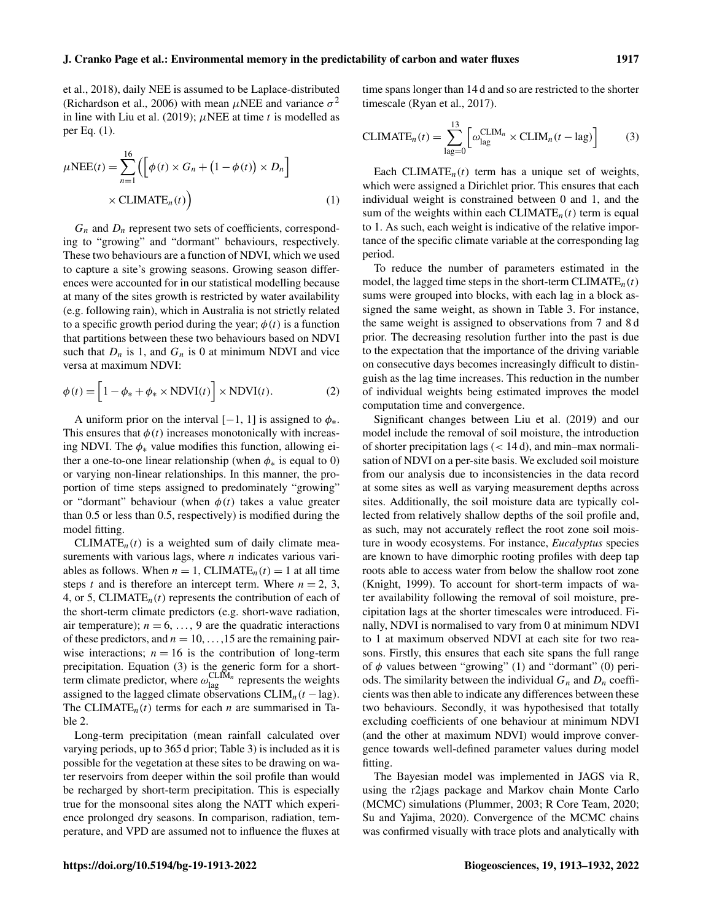[et al.,](#page-19-7) [2018\)](#page-19-7), daily NEE is assumed to be Laplace-distributed [\(Richardson et al.,](#page-18-15) [2006\)](#page-18-15) with mean  $\mu$ NEE and variance  $\sigma^2$ in line with [Liu et al.](#page-17-8) [\(2019\)](#page-17-8);  $\mu$ NEE at time t is modelled as per Eq. [\(1\)](#page-4-0).

$$
\mu \text{NEE}(t) = \sum_{n=1}^{16} \left( \left[ \phi(t) \times G_n + (1 - \phi(t)) \times D_n \right] \times \text{CLIMATE}_n(t) \right) \tag{1}
$$

 $G_n$  and  $D_n$  represent two sets of coefficients, corresponding to "growing" and "dormant" behaviours, respectively. These two behaviours are a function of NDVI, which we used to capture a site's growing seasons. Growing season differences were accounted for in our statistical modelling because at many of the sites growth is restricted by water availability (e.g. following rain), which in Australia is not strictly related to a specific growth period during the year;  $\phi(t)$  is a function that partitions between these two behaviours based on NDVI such that  $D_n$  is 1, and  $G_n$  is 0 at minimum NDVI and vice versa at maximum NDVI:

$$
\phi(t) = \left[1 - \phi_* + \phi_* \times \text{NDVI}(t)\right] \times \text{NDVI}(t). \tag{2}
$$

A uniform prior on the interval  $[-1, 1]$  is assigned to  $\phi_*$ . This ensures that  $\phi(t)$  increases monotonically with increasing NDVI. The  $\phi_*$  value modifies this function, allowing either a one-to-one linear relationship (when  $\phi_*$  is equal to 0) or varying non-linear relationships. In this manner, the proportion of time steps assigned to predominately "growing" or "dormant" behaviour (when  $\phi(t)$  takes a value greater than 0.5 or less than 0.5, respectively) is modified during the model fitting.

CLIMATE<sub>n</sub> $(t)$  is a weighted sum of daily climate measurements with various lags, where  $n$  indicates various variables as follows. When  $n = 1$ , CLIMATE<sub>n</sub> $(t) = 1$  at all time steps t and is therefore an intercept term. Where  $n = 2, 3$ , 4, or 5, CLIMATE $_n(t)$  represents the contribution of each of the short-term climate predictors (e.g. short-wave radiation, air temperature);  $n = 6, \ldots, 9$  are the quadratic interactions of these predictors, and  $n = 10, \ldots, 15$  are the remaining pairwise interactions;  $n = 16$  is the contribution of long-term precipitation. Equation [\(3\)](#page-4-1) is the generic form for a shortterm climate predictor, where  $\omega_{\text{lag}}^{\text{CLIM}_n}$  represents the weights assigned to the lagged climate observations  $CLIM_n(t - lag)$ . The CLIMATE<sub>n</sub>(t) terms for each n are summarised in Table [2.](#page-5-0)

Long-term precipitation (mean rainfall calculated over varying periods, up to 365 d prior; Table [3\)](#page-6-0) is included as it is possible for the vegetation at these sites to be drawing on water reservoirs from deeper within the soil profile than would be recharged by short-term precipitation. This is especially true for the monsoonal sites along the NATT which experience prolonged dry seasons. In comparison, radiation, temperature, and VPD are assumed not to influence the fluxes at time spans longer than 14 d and so are restricted to the shorter timescale [\(Ryan et al.,](#page-18-7) [2017\)](#page-18-7).

<span id="page-4-1"></span>
$$
CLIMATEn(t) = \sum_{\text{lag}=0}^{13} \left[ \omega_{\text{lag}}^{CLIM_n} \times CLIM_n(t - \text{lag}) \right]
$$
 (3)

<span id="page-4-0"></span>Each CLIMATE<sub>n</sub> $(t)$  term has a unique set of weights, which were assigned a Dirichlet prior. This ensures that each individual weight is constrained between 0 and 1, and the sum of the weights within each CLIMATE<sub>n</sub> $(t)$  term is equal to 1. As such, each weight is indicative of the relative importance of the specific climate variable at the corresponding lag period.

To reduce the number of parameters estimated in the model, the lagged time steps in the short-term CLIMATE<sub>n</sub> $(t)$ sums were grouped into blocks, with each lag in a block assigned the same weight, as shown in Table [3.](#page-6-0) For instance, the same weight is assigned to observations from 7 and 8 d prior. The decreasing resolution further into the past is due to the expectation that the importance of the driving variable on consecutive days becomes increasingly difficult to distinguish as the lag time increases. This reduction in the number of individual weights being estimated improves the model computation time and convergence.

Significant changes between [Liu et al.](#page-17-8) [\(2019\)](#page-17-8) and our model include the removal of soil moisture, the introduction of shorter precipitation lags (< 14 d), and min–max normalisation of NDVI on a per-site basis. We excluded soil moisture from our analysis due to inconsistencies in the data record at some sites as well as varying measurement depths across sites. Additionally, the soil moisture data are typically collected from relatively shallow depths of the soil profile and, as such, may not accurately reflect the root zone soil moisture in woody ecosystems. For instance, *Eucalyptus* species are known to have dimorphic rooting profiles with deep tap roots able to access water from below the shallow root zone [\(Knight,](#page-17-13) [1999\)](#page-17-13). To account for short-term impacts of water availability following the removal of soil moisture, precipitation lags at the shorter timescales were introduced. Finally, NDVI is normalised to vary from 0 at minimum NDVI to 1 at maximum observed NDVI at each site for two reasons. Firstly, this ensures that each site spans the full range of  $\phi$  values between "growing" (1) and "dormant" (0) periods. The similarity between the individual  $G_n$  and  $D_n$  coefficients was then able to indicate any differences between these two behaviours. Secondly, it was hypothesised that totally excluding coefficients of one behaviour at minimum NDVI (and the other at maximum NDVI) would improve convergence towards well-defined parameter values during model fitting.

The Bayesian model was implemented in JAGS via R, using the r2jags package and Markov chain Monte Carlo (MCMC) simulations [\(Plummer,](#page-18-16) [2003;](#page-18-16) [R Core Team,](#page-18-17) [2020;](#page-18-17) [Su and Yajima,](#page-18-18) [2020\)](#page-18-18). Convergence of the MCMC chains was confirmed visually with trace plots and analytically with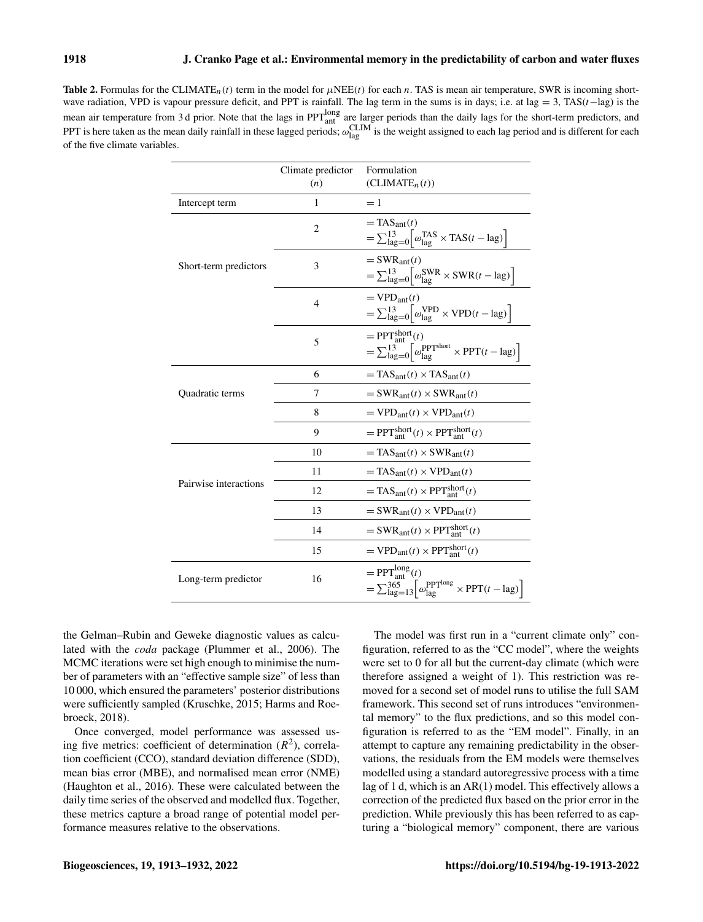<span id="page-5-0"></span>**Table 2.** Formulas for the CLIMATE<sub>n</sub>(t) term in the model for  $\mu$ NEE(t) for each n. TAS is mean air temperature, SWR is incoming shortwave radiation, VPD is vapour pressure deficit, and PPT is rainfall. The lag term in the sums is in days; i.e. at lag = 3, TAS $(t-$ lag) is the mean air temperature from 3 d prior. Note that the lags in  $PPT_{ant}^{long}$  are larger periods than the daily lags for the short-term predictors, and PPT is here taken as the mean daily rainfall in these lagged periods;  $\omega_{lag}^{CLIM}$  is the weight assigned to each lag period and is different for each of the five climate variables.

|                       | Climate predictor<br>(n) | Formulation<br>(CLIMATE <sub>n</sub> (t))                                                                                                                           |
|-----------------------|--------------------------|---------------------------------------------------------------------------------------------------------------------------------------------------------------------|
| Intercept term        | 1                        | $=1$                                                                                                                                                                |
|                       | $\overline{2}$           | $=$ TAS <sub>ant</sub> $(t)$<br>$=\sum_{\text{lag}=0}^{13} \left[ \omega_{\text{lag}}^{\text{TAS}} \times \text{TAS}(t-\text{lag}) \right]$                         |
| Short-term predictors | 3                        | $=$ SWR <sub>ant</sub> $(t)$<br>$=\sum_{\text{lag}=0}^{13} \left  \omega_{\text{lag}}^{\text{SWR}} \times \text{SWR}(t-\text{lag}) \right $                         |
|                       | $\overline{4}$           | $=$ VPD <sub>ant</sub> $(t)$<br>$=\sum_{\text{lag}=0}^{13} \left  \omega_{\text{lag}}^{\text{VPD}} \times \text{VPD}(t-\text{lag}) \right $                         |
|                       | 5                        | $=$ PPT $_{\text{ant}}^{\text{short}}(t)$<br>$=\sum_{\text{lag}=0}^{13} \left[\omega_{\text{lag}}^{\text{PPTshort}} \times \text{PPT}(t-\text{lag})\right]$         |
|                       | 6                        | $=$ TAS <sub>ant</sub> $(t) \times$ TAS <sub>ant</sub> $(t)$                                                                                                        |
| Quadratic terms       | 7                        | $=$ SWR <sub>ant</sub> $(t) \times$ SWR <sub>ant</sub> $(t)$                                                                                                        |
|                       | 8                        | $= VPD_{ant}(t) \times VPD_{ant}(t)$                                                                                                                                |
|                       | 9                        | $=$ PPT $_{\text{ant}}^{\text{short}}(t) \times$ PPT $_{\text{ant}}^{\text{short}}(t)$                                                                              |
|                       | 10                       | $=$ TAS <sub>ant</sub> $(t) \times$ SWR <sub>ant</sub> $(t)$                                                                                                        |
|                       | 11                       | $=$ TAS <sub>ant</sub> $(t) \times$ VPD <sub>ant</sub> $(t)$                                                                                                        |
| Pairwise interactions | 12                       | $=$ TAS <sub>ant</sub> $(t) \times$ PPT <sup>short</sup> $(t)$                                                                                                      |
|                       | 13                       | $=$ SWR <sub>ant</sub> $(t) \times$ VPD <sub>ant</sub> $(t)$                                                                                                        |
|                       | 14                       | $=$ SWR <sub>ant</sub> $(t) \times$ PPT <sup>short</sup> $(t)$                                                                                                      |
|                       | 15                       | $= VPD_{ant}(t) \times PPT_{ant}^{short}(t)$                                                                                                                        |
| Long-term predictor   | 16                       | $=$ PPT $_{\text{ant}}^{\text{long}}(t)$<br>$=\sum_{\text{lag}=13}^{365} \left[\omega_{\text{lag}}^{\text{PPT} \text{long}} \times \text{PPT}(t-\text{lag})\right]$ |

the Gelman–Rubin and Geweke diagnostic values as calculated with the *coda* package [\(Plummer et al.,](#page-18-19) [2006\)](#page-18-19). The MCMC iterations were set high enough to minimise the number of parameters with an "effective sample size" of less than 10 000, which ensured the parameters' posterior distributions were sufficiently sampled [\(Kruschke,](#page-17-14) [2015;](#page-17-14) [Harms and Roe](#page-16-12)[broeck,](#page-16-12) [2018\)](#page-16-12).

Once converged, model performance was assessed using five metrics: coefficient of determination  $(R^2)$ , correlation coefficient (CCO), standard deviation difference (SDD), mean bias error (MBE), and normalised mean error (NME) [\(Haughton et al.,](#page-16-13) [2016\)](#page-16-13). These were calculated between the daily time series of the observed and modelled flux. Together, these metrics capture a broad range of potential model performance measures relative to the observations.

The model was first run in a "current climate only" configuration, referred to as the "CC model", where the weights were set to 0 for all but the current-day climate (which were therefore assigned a weight of 1). This restriction was removed for a second set of model runs to utilise the full SAM framework. This second set of runs introduces "environmental memory" to the flux predictions, and so this model configuration is referred to as the "EM model". Finally, in an attempt to capture any remaining predictability in the observations, the residuals from the EM models were themselves modelled using a standard autoregressive process with a time lag of 1 d, which is an AR(1) model. This effectively allows a correction of the predicted flux based on the prior error in the prediction. While previously this has been referred to as capturing a "biological memory" component, there are various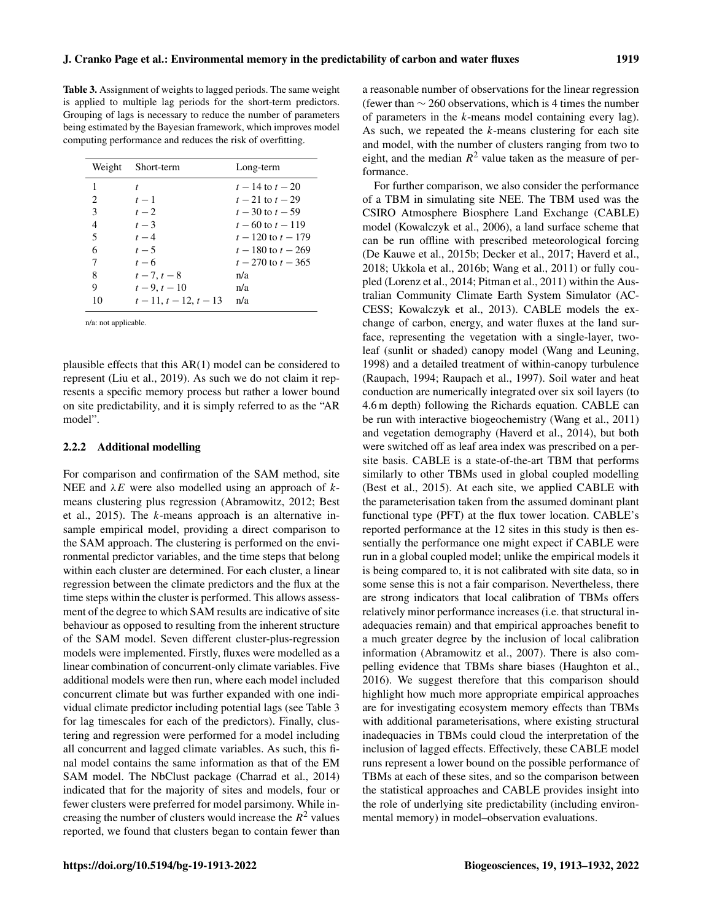<span id="page-6-0"></span>Table 3. Assignment of weights to lagged periods. The same weight is applied to multiple lag periods for the short-term predictors. Grouping of lags is necessary to reduce the number of parameters being estimated by the Bayesian framework, which improves model computing performance and reduces the risk of overfitting.

| Weight                        | Short-term               | Long-term              |
|-------------------------------|--------------------------|------------------------|
| 1                             |                          | $t - 14$ to $t - 20$   |
| $\mathfrak{D}_{\mathfrak{p}}$ | $t-1$                    | $t - 21$ to $t - 29$   |
| 3                             | $t - 2$                  | $t = 30$ to $t = 59$   |
| 4                             | $t-3$                    | $t - 60$ to $t - 119$  |
| 5                             | $t-4$                    | $t-120$ to $t-179$     |
| 6                             | $t-5$                    | $t-180$ to $t-269$     |
| 7                             | $t-6$                    | $t - 270$ to $t - 365$ |
| 8                             | $t-7, t-8$               | n/a                    |
| 9                             | $t - 9, t - 10$          | n/a                    |
| 10                            | $t-11$ , $t-12$ , $t-13$ | n/a                    |

n/a: not applicable.

plausible effects that this AR(1) model can be considered to represent [\(Liu et al.,](#page-17-8) [2019\)](#page-17-8). As such we do not claim it represents a specific memory process but rather a lower bound on site predictability, and it is simply referred to as the "AR model".

#### 2.2.2 Additional modelling

For comparison and confirmation of the SAM method, site NEE and  $\lambda E$  were also modelled using an approach of kmeans clustering plus regression [\(Abramowitz,](#page-15-13) [2012;](#page-15-13) [Best](#page-15-14) [et al.,](#page-15-14) [2015\)](#page-15-14). The k-means approach is an alternative insample empirical model, providing a direct comparison to the SAM approach. The clustering is performed on the environmental predictor variables, and the time steps that belong within each cluster are determined. For each cluster, a linear regression between the climate predictors and the flux at the time steps within the cluster is performed. This allows assessment of the degree to which SAM results are indicative of site behaviour as opposed to resulting from the inherent structure of the SAM model. Seven different cluster-plus-regression models were implemented. Firstly, fluxes were modelled as a linear combination of concurrent-only climate variables. Five additional models were then run, where each model included concurrent climate but was further expanded with one individual climate predictor including potential lags (see Table [3](#page-6-0) for lag timescales for each of the predictors). Finally, clustering and regression were performed for a model including all concurrent and lagged climate variables. As such, this final model contains the same information as that of the EM SAM model. The NbClust package [\(Charrad et al.,](#page-15-15) [2014\)](#page-15-15) indicated that for the majority of sites and models, four or fewer clusters were preferred for model parsimony. While increasing the number of clusters would increase the  $R^2$  values reported, we found that clusters began to contain fewer than a reasonable number of observations for the linear regression (fewer than  $\sim$  260 observations, which is 4 times the number of parameters in the k-means model containing every lag). As such, we repeated the  $k$ -means clustering for each site and model, with the number of clusters ranging from two to eight, and the median  $R^2$  value taken as the measure of performance.

For further comparison, we also consider the performance of a TBM in simulating site NEE. The TBM used was the CSIRO Atmosphere Biosphere Land Exchange (CABLE) model [\(Kowalczyk et al.,](#page-17-15) [2006\)](#page-17-15), a land surface scheme that can be run offline with prescribed meteorological forcing [\(De Kauwe et al.,](#page-16-14) [2015b;](#page-16-14) [Decker et al.,](#page-16-15) [2017;](#page-16-15) [Haverd et al.,](#page-16-16) [2018;](#page-16-16) [Ukkola et al.,](#page-19-8) [2016b;](#page-19-8) [Wang et al.,](#page-19-9) [2011\)](#page-19-9) or fully coupled [\(Lorenz et al.,](#page-17-16) [2014;](#page-17-16) [Pitman et al.,](#page-18-20) [2011\)](#page-18-20) within the Australian Community Climate Earth System Simulator (AC-CESS; [Kowalczyk et al.,](#page-17-17) [2013\)](#page-17-17). CABLE models the exchange of carbon, energy, and water fluxes at the land surface, representing the vegetation with a single-layer, twoleaf (sunlit or shaded) canopy model [\(Wang and Leuning,](#page-19-10) [1998\)](#page-19-10) and a detailed treatment of within-canopy turbulence [\(Raupach,](#page-18-21) [1994;](#page-18-21) [Raupach et al.,](#page-18-22) [1997\)](#page-18-22). Soil water and heat conduction are numerically integrated over six soil layers (to 4.6 m depth) following the Richards equation. CABLE can be run with interactive biogeochemistry [\(Wang et al.,](#page-19-9) [2011\)](#page-19-9) and vegetation demography [\(Haverd et al.,](#page-16-17) [2014\)](#page-16-17), but both were switched off as leaf area index was prescribed on a persite basis. CABLE is a state-of-the-art TBM that performs similarly to other TBMs used in global coupled modelling [\(Best et al.,](#page-15-14) [2015\)](#page-15-14). At each site, we applied CABLE with the parameterisation taken from the assumed dominant plant functional type (PFT) at the flux tower location. CABLE's reported performance at the 12 sites in this study is then essentially the performance one might expect if CABLE were run in a global coupled model; unlike the empirical models it is being compared to, it is not calibrated with site data, so in some sense this is not a fair comparison. Nevertheless, there are strong indicators that local calibration of TBMs offers relatively minor performance increases (i.e. that structural inadequacies remain) and that empirical approaches benefit to a much greater degree by the inclusion of local calibration information [\(Abramowitz et al.,](#page-15-16) [2007\)](#page-15-16). There is also compelling evidence that TBMs share biases [\(Haughton et al.,](#page-16-13) [2016\)](#page-16-13). We suggest therefore that this comparison should highlight how much more appropriate empirical approaches are for investigating ecosystem memory effects than TBMs with additional parameterisations, where existing structural inadequacies in TBMs could cloud the interpretation of the inclusion of lagged effects. Effectively, these CABLE model runs represent a lower bound on the possible performance of TBMs at each of these sites, and so the comparison between the statistical approaches and CABLE provides insight into the role of underlying site predictability (including environmental memory) in model–observation evaluations.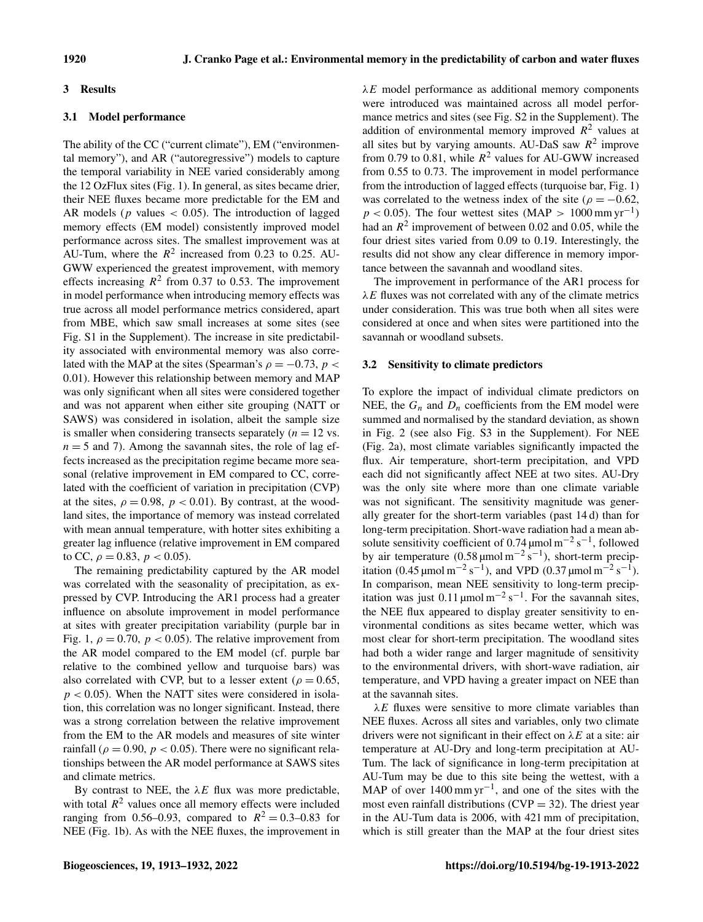### 3 Results

## 3.1 Model performance

The ability of the CC ("current climate"), EM ("environmental memory"), and AR ("autoregressive") models to capture the temporal variability in NEE varied considerably among the 12 OzFlux sites (Fig. [1\)](#page-8-0). In general, as sites became drier, their NEE fluxes became more predictable for the EM and AR models ( $p$  values  $\lt$  0.05). The introduction of lagged memory effects (EM model) consistently improved model performance across sites. The smallest improvement was at AU-Tum, where the  $R^2$  increased from 0.23 to 0.25. AU-GWW experienced the greatest improvement, with memory effects increasing  $R^2$  from 0.37 to 0.53. The improvement in model performance when introducing memory effects was true across all model performance metrics considered, apart from MBE, which saw small increases at some sites (see Fig. S1 in the Supplement). The increase in site predictability associated with environmental memory was also correlated with the MAP at the sites (Spearman's  $\rho = -0.73$ ,  $p <$ 0.01). However this relationship between memory and MAP was only significant when all sites were considered together and was not apparent when either site grouping (NATT or SAWS) was considered in isolation, albeit the sample size is smaller when considering transects separately  $(n = 12 \text{ vs.})$  $n = 5$  and 7). Among the savannah sites, the role of lag effects increased as the precipitation regime became more seasonal (relative improvement in EM compared to CC, correlated with the coefficient of variation in precipitation (CVP) at the sites,  $\rho = 0.98$ ,  $p < 0.01$ ). By contrast, at the woodland sites, the importance of memory was instead correlated with mean annual temperature, with hotter sites exhibiting a greater lag influence (relative improvement in EM compared to CC,  $\rho = 0.83$ ,  $p < 0.05$ ).

The remaining predictability captured by the AR model was correlated with the seasonality of precipitation, as expressed by CVP. Introducing the AR1 process had a greater influence on absolute improvement in model performance at sites with greater precipitation variability (purple bar in Fig. [1,](#page-8-0)  $\rho = 0.70$ ,  $p < 0.05$ ). The relative improvement from the AR model compared to the EM model (cf. purple bar relative to the combined yellow and turquoise bars) was also correlated with CVP, but to a lesser extent ( $\rho = 0.65$ ,  $p < 0.05$ ). When the NATT sites were considered in isolation, this correlation was no longer significant. Instead, there was a strong correlation between the relative improvement from the EM to the AR models and measures of site winter rainfall ( $\rho = 0.90$ ,  $p < 0.05$ ). There were no significant relationships between the AR model performance at SAWS sites and climate metrics.

By contrast to NEE, the  $\lambda E$  flux was more predictable, with total  $R^2$  values once all memory effects were included ranging from 0.56–0.93, compared to  $R^2 = 0.3 - 0.83$  for NEE (Fig. [1b](#page-8-0)). As with the NEE fluxes, the improvement in  $\lambda E$  model performance as additional memory components were introduced was maintained across all model performance metrics and sites (see Fig. S2 in the Supplement). The addition of environmental memory improved  $R^2$  values at all sites but by varying amounts. AU-DaS saw  $R^2$  improve from 0.79 to 0.81, while  $R^2$  values for AU-GWW increased from 0.55 to 0.73. The improvement in model performance from the introduction of lagged effects (turquoise bar, Fig. [1\)](#page-8-0) was correlated to the wetness index of the site ( $\rho = -0.62$ ,  $p < 0.05$ ). The four wettest sites (MAP > 1000 mm yr<sup>-1</sup>) had an  $R^2$  improvement of between 0.02 and 0.05, while the four driest sites varied from 0.09 to 0.19. Interestingly, the results did not show any clear difference in memory importance between the savannah and woodland sites.

The improvement in performance of the AR1 process for  $\lambda E$  fluxes was not correlated with any of the climate metrics under consideration. This was true both when all sites were considered at once and when sites were partitioned into the savannah or woodland subsets.

## 3.2 Sensitivity to climate predictors

To explore the impact of individual climate predictors on NEE, the  $G_n$  and  $D_n$  coefficients from the EM model were summed and normalised by the standard deviation, as shown in Fig. [2](#page-8-1) (see also Fig. S3 in the Supplement). For NEE (Fig. [2a](#page-8-1)), most climate variables significantly impacted the flux. Air temperature, short-term precipitation, and VPD each did not significantly affect NEE at two sites. AU-Dry was the only site where more than one climate variable was not significant. The sensitivity magnitude was generally greater for the short-term variables (past 14 d) than for long-term precipitation. Short-wave radiation had a mean absolute sensitivity coefficient of 0.74 µmol  $m^{-2} s^{-1}$ , followed by air temperature  $(0.58 \,\text{\mu mol m}^{-2} \,\text{s}^{-1})$ , short-term precipitation (0.45 µmol m<sup>-2</sup> s<sup>-1</sup>), and VPD (0.37 µmol m<sup>-2</sup> s<sup>-1</sup>). In comparison, mean NEE sensitivity to long-term precipitation was just  $0.11 \mu$ mol m<sup>-2</sup> s<sup>-1</sup>. For the savannah sites, the NEE flux appeared to display greater sensitivity to environmental conditions as sites became wetter, which was most clear for short-term precipitation. The woodland sites had both a wider range and larger magnitude of sensitivity to the environmental drivers, with short-wave radiation, air temperature, and VPD having a greater impact on NEE than at the savannah sites.

 $\lambda E$  fluxes were sensitive to more climate variables than NEE fluxes. Across all sites and variables, only two climate drivers were not significant in their effect on  $\lambda E$  at a site: air temperature at AU-Dry and long-term precipitation at AU-Tum. The lack of significance in long-term precipitation at AU-Tum may be due to this site being the wettest, with a MAP of over  $1400 \text{ mm yr}^{-1}$ , and one of the sites with the most even rainfall distributions ( $CVP = 32$ ). The driest year in the AU-Tum data is 2006, with 421 mm of precipitation, which is still greater than the MAP at the four driest sites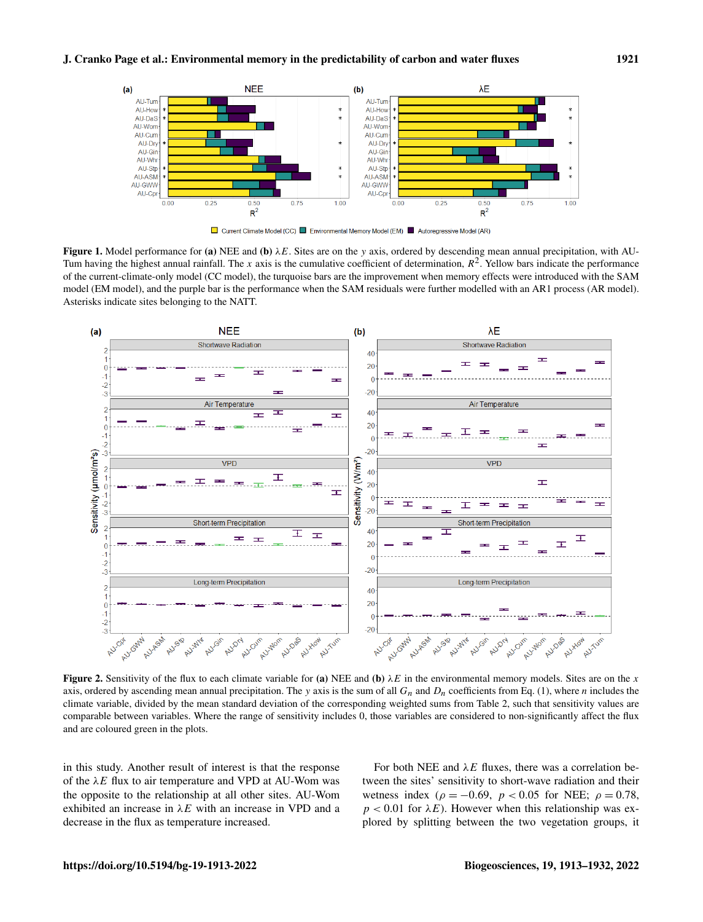<span id="page-8-0"></span>

Figure 1. Model performance for (a) NEE and (b)  $\lambda E$ . Sites are on the y axis, ordered by descending mean annual precipitation, with AU-Tum having the highest annual rainfall. The x axis is the cumulative coefficient of determination,  $R^2$ . Yellow bars indicate the performance of the current-climate-only model (CC model), the turquoise bars are the improvement when memory effects were introduced with the SAM model (EM model), and the purple bar is the performance when the SAM residuals were further modelled with an AR1 process (AR model). Asterisks indicate sites belonging to the NATT.

<span id="page-8-1"></span>

**Figure 2.** Sensitivity of the flux to each climate variable for (a) NEE and (b)  $\lambda E$  in the environmental memory models. Sites are on the x axis, ordered by ascending mean annual precipitation. The y axis is the sum of all  $G_n$  and  $D_n$  coefficients from Eq. [\(1\)](#page-4-0), where n includes the climate variable, divided by the mean standard deviation of the corresponding weighted sums from Table [2,](#page-5-0) such that sensitivity values are comparable between variables. Where the range of sensitivity includes 0, those variables are considered to non-significantly affect the flux and are coloured green in the plots.

in this study. Another result of interest is that the response of the  $\lambda E$  flux to air temperature and VPD at AU-Wom was the opposite to the relationship at all other sites. AU-Wom exhibited an increase in  $\lambda E$  with an increase in VPD and a decrease in the flux as temperature increased.

For both NEE and  $\lambda E$  fluxes, there was a correlation between the sites' sensitivity to short-wave radiation and their wetness index ( $\rho = -0.69$ ,  $p < 0.05$  for NEE;  $\rho = 0.78$ ,  $p < 0.01$  for  $\lambda E$ ). However when this relationship was explored by splitting between the two vegetation groups, it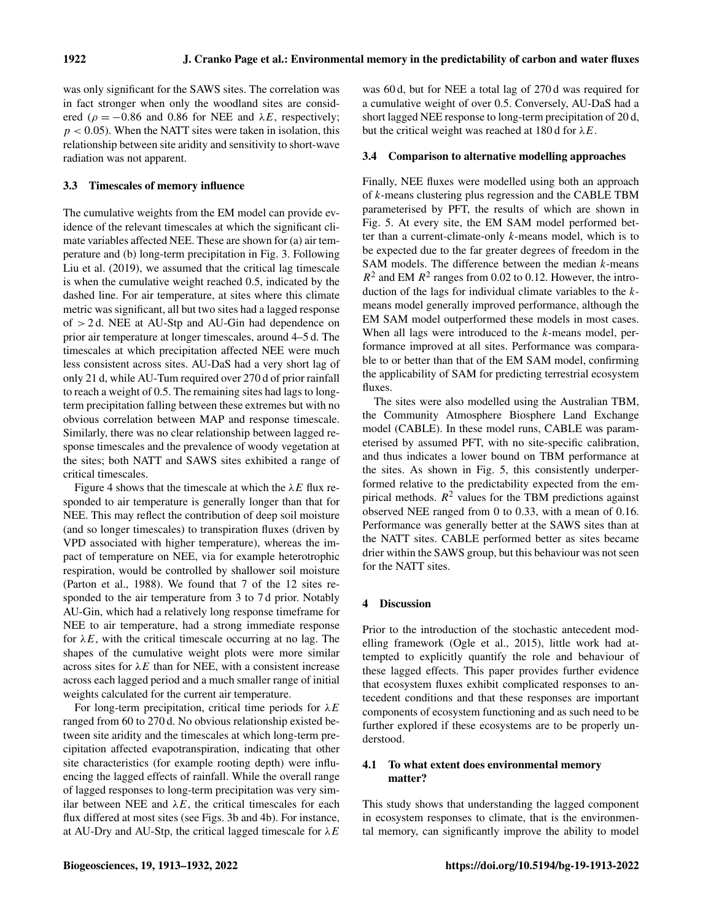was only significant for the SAWS sites. The correlation was in fact stronger when only the woodland sites are considered ( $\rho = -0.86$  and 0.86 for NEE and  $\lambda E$ , respectively;  $p < 0.05$ ). When the NATT sites were taken in isolation, this relationship between site aridity and sensitivity to short-wave radiation was not apparent.

# 3.3 Timescales of memory influence

The cumulative weights from the EM model can provide evidence of the relevant timescales at which the significant climate variables affected NEE. These are shown for (a) air temperature and (b) long-term precipitation in Fig. [3.](#page-10-0) Following [Liu et al.](#page-17-8) [\(2019\)](#page-17-8), we assumed that the critical lag timescale is when the cumulative weight reached 0.5, indicated by the dashed line. For air temperature, at sites where this climate metric was significant, all but two sites had a lagged response of > 2 d. NEE at AU-Stp and AU-Gin had dependence on prior air temperature at longer timescales, around 4–5 d. The timescales at which precipitation affected NEE were much less consistent across sites. AU-DaS had a very short lag of only 21 d, while AU-Tum required over 270 d of prior rainfall to reach a weight of 0.5. The remaining sites had lags to longterm precipitation falling between these extremes but with no obvious correlation between MAP and response timescale. Similarly, there was no clear relationship between lagged response timescales and the prevalence of woody vegetation at the sites; both NATT and SAWS sites exhibited a range of critical timescales.

Figure [4](#page-11-0) shows that the timescale at which the  $\lambda E$  flux responded to air temperature is generally longer than that for NEE. This may reflect the contribution of deep soil moisture (and so longer timescales) to transpiration fluxes (driven by VPD associated with higher temperature), whereas the impact of temperature on NEE, via for example heterotrophic respiration, would be controlled by shallower soil moisture [\(Parton et al.,](#page-18-23) [1988\)](#page-18-23). We found that 7 of the 12 sites responded to the air temperature from 3 to 7 d prior. Notably AU-Gin, which had a relatively long response timeframe for NEE to air temperature, had a strong immediate response for  $\lambda E$ , with the critical timescale occurring at no lag. The shapes of the cumulative weight plots were more similar across sites for  $\lambda E$  than for NEE, with a consistent increase across each lagged period and a much smaller range of initial weights calculated for the current air temperature.

For long-term precipitation, critical time periods for  $\lambda E$ ranged from 60 to 270 d. No obvious relationship existed between site aridity and the timescales at which long-term precipitation affected evapotranspiration, indicating that other site characteristics (for example rooting depth) were influencing the lagged effects of rainfall. While the overall range of lagged responses to long-term precipitation was very similar between NEE and  $\lambda E$ , the critical timescales for each flux differed at most sites (see Figs. [3b](#page-10-0) and [4b](#page-11-0)). For instance, at AU-Dry and AU-Stp, the critical lagged timescale for  $\lambda E$ 

was 60 d, but for NEE a total lag of 270 d was required for a cumulative weight of over 0.5. Conversely, AU-DaS had a short lagged NEE response to long-term precipitation of 20 d, but the critical weight was reached at 180 d for  $\lambda E$ .

# 3.4 Comparison to alternative modelling approaches

Finally, NEE fluxes were modelled using both an approach of k-means clustering plus regression and the CABLE TBM parameterised by PFT, the results of which are shown in Fig. [5.](#page-12-0) At every site, the EM SAM model performed better than a current-climate-only  $k$ -means model, which is to be expected due to the far greater degrees of freedom in the SAM models. The difference between the median  $k$ -means  $R<sup>2</sup>$  and EM  $R<sup>2</sup>$  ranges from 0.02 to 0.12. However, the introduction of the lags for individual climate variables to the kmeans model generally improved performance, although the EM SAM model outperformed these models in most cases. When all lags were introduced to the *k*-means model, performance improved at all sites. Performance was comparable to or better than that of the EM SAM model, confirming the applicability of SAM for predicting terrestrial ecosystem fluxes.

The sites were also modelled using the Australian TBM, the Community Atmosphere Biosphere Land Exchange model (CABLE). In these model runs, CABLE was parameterised by assumed PFT, with no site-specific calibration, and thus indicates a lower bound on TBM performance at the sites. As shown in Fig. [5,](#page-12-0) this consistently underperformed relative to the predictability expected from the empirical methods.  $R^2$  values for the TBM predictions against observed NEE ranged from 0 to 0.33, with a mean of 0.16. Performance was generally better at the SAWS sites than at the NATT sites. CABLE performed better as sites became drier within the SAWS group, but this behaviour was not seen for the NATT sites.

# 4 Discussion

Prior to the introduction of the stochastic antecedent modelling framework [\(Ogle et al.,](#page-18-5) [2015\)](#page-18-5), little work had attempted to explicitly quantify the role and behaviour of these lagged effects. This paper provides further evidence that ecosystem fluxes exhibit complicated responses to antecedent conditions and that these responses are important components of ecosystem functioning and as such need to be further explored if these ecosystems are to be properly understood.

# 4.1 To what extent does environmental memory matter?

This study shows that understanding the lagged component in ecosystem responses to climate, that is the environmental memory, can significantly improve the ability to model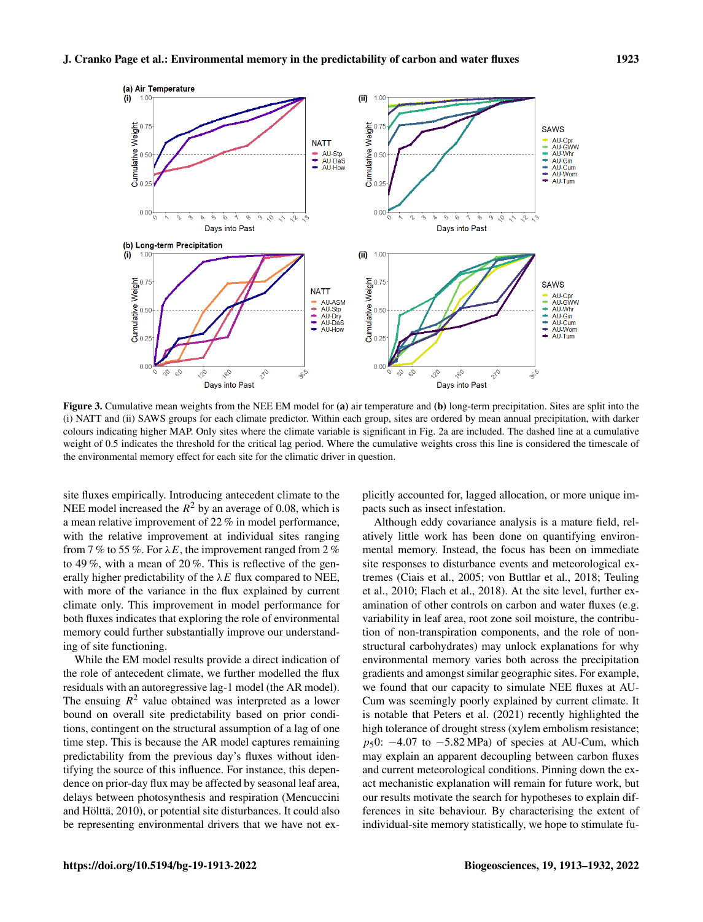<span id="page-10-0"></span>

Figure 3. Cumulative mean weights from the NEE EM model for (a) air temperature and (b) long-term precipitation. Sites are split into the (i) NATT and (ii) SAWS groups for each climate predictor. Within each group, sites are ordered by mean annual precipitation, with darker colours indicating higher MAP. Only sites where the climate variable is significant in Fig. [2a](#page-8-1) are included. The dashed line at a cumulative weight of 0.5 indicates the threshold for the critical lag period. Where the cumulative weights cross this line is considered the timescale of the environmental memory effect for each site for the climatic driver in question.

site fluxes empirically. Introducing antecedent climate to the NEE model increased the  $R^2$  by an average of 0.08, which is a mean relative improvement of 22 % in model performance, with the relative improvement at individual sites ranging from 7 % to 55 %. For  $\lambda E$ , the improvement ranged from 2 % to 49 %, with a mean of 20 %. This is reflective of the generally higher predictability of the  $\lambda E$  flux compared to NEE, with more of the variance in the flux explained by current climate only. This improvement in model performance for both fluxes indicates that exploring the role of environmental memory could further substantially improve our understanding of site functioning.

While the EM model results provide a direct indication of the role of antecedent climate, we further modelled the flux residuals with an autoregressive lag-1 model (the AR model). The ensuing  $R^2$  value obtained was interpreted as a lower bound on overall site predictability based on prior conditions, contingent on the structural assumption of a lag of one time step. This is because the AR model captures remaining predictability from the previous day's fluxes without identifying the source of this influence. For instance, this dependence on prior-day flux may be affected by seasonal leaf area, delays between photosynthesis and respiration [\(Mencuccini](#page-17-18) [and Hölttä,](#page-17-18) [2010\)](#page-17-18), or potential site disturbances. It could also be representing environmental drivers that we have not ex-

plicitly accounted for, lagged allocation, or more unique impacts such as insect infestation.

Although eddy covariance analysis is a mature field, relatively little work has been done on quantifying environmental memory. Instead, the focus has been on immediate site responses to disturbance events and meteorological extremes [\(Ciais et al.,](#page-15-17) [2005;](#page-15-17) [von Buttlar et al.,](#page-19-11) [2018;](#page-19-11) [Teuling](#page-18-24) [et al.,](#page-18-24) [2010;](#page-18-24) [Flach et al.,](#page-16-18) [2018\)](#page-16-18). At the site level, further examination of other controls on carbon and water fluxes (e.g. variability in leaf area, root zone soil moisture, the contribution of non-transpiration components, and the role of nonstructural carbohydrates) may unlock explanations for why environmental memory varies both across the precipitation gradients and amongst similar geographic sites. For example, we found that our capacity to simulate NEE fluxes at AU-Cum was seemingly poorly explained by current climate. It is notable that [Peters et al.](#page-18-25) [\(2021\)](#page-18-25) recently highlighted the high tolerance of drought stress (xylem embolism resistance;  $p_50$ : −4.07 to −5.82 MPa) of species at AU-Cum, which may explain an apparent decoupling between carbon fluxes and current meteorological conditions. Pinning down the exact mechanistic explanation will remain for future work, but our results motivate the search for hypotheses to explain differences in site behaviour. By characterising the extent of individual-site memory statistically, we hope to stimulate fu-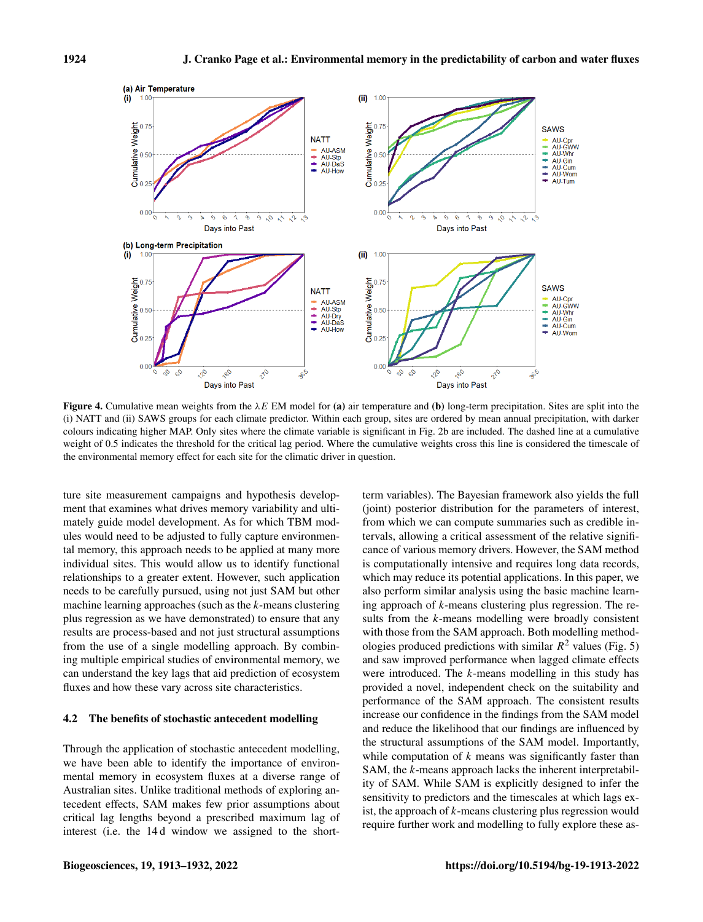<span id="page-11-0"></span>

**Figure 4.** Cumulative mean weights from the  $\lambda E$  EM model for (a) air temperature and (b) long-term precipitation. Sites are split into the (i) NATT and (ii) SAWS groups for each climate predictor. Within each group, sites are ordered by mean annual precipitation, with darker colours indicating higher MAP. Only sites where the climate variable is significant in Fig. [2b](#page-8-1) are included. The dashed line at a cumulative weight of 0.5 indicates the threshold for the critical lag period. Where the cumulative weights cross this line is considered the timescale of the environmental memory effect for each site for the climatic driver in question.

ture site measurement campaigns and hypothesis development that examines what drives memory variability and ultimately guide model development. As for which TBM modules would need to be adjusted to fully capture environmental memory, this approach needs to be applied at many more individual sites. This would allow us to identify functional relationships to a greater extent. However, such application needs to be carefully pursued, using not just SAM but other machine learning approaches (such as the k-means clustering plus regression as we have demonstrated) to ensure that any results are process-based and not just structural assumptions from the use of a single modelling approach. By combining multiple empirical studies of environmental memory, we can understand the key lags that aid prediction of ecosystem fluxes and how these vary across site characteristics.

## 4.2 The benefits of stochastic antecedent modelling

Through the application of stochastic antecedent modelling, we have been able to identify the importance of environmental memory in ecosystem fluxes at a diverse range of Australian sites. Unlike traditional methods of exploring antecedent effects, SAM makes few prior assumptions about critical lag lengths beyond a prescribed maximum lag of interest (i.e. the 14 d window we assigned to the shortterm variables). The Bayesian framework also yields the full (joint) posterior distribution for the parameters of interest, from which we can compute summaries such as credible intervals, allowing a critical assessment of the relative significance of various memory drivers. However, the SAM method is computationally intensive and requires long data records, which may reduce its potential applications. In this paper, we also perform similar analysis using the basic machine learning approach of k-means clustering plus regression. The results from the *k*-means modelling were broadly consistent with those from the SAM approach. Both modelling methodologies produced predictions with similar  $R^2$  values (Fig. [5\)](#page-12-0) and saw improved performance when lagged climate effects were introduced. The k-means modelling in this study has provided a novel, independent check on the suitability and performance of the SAM approach. The consistent results increase our confidence in the findings from the SAM model and reduce the likelihood that our findings are influenced by the structural assumptions of the SAM model. Importantly, while computation of  $k$  means was significantly faster than SAM, the k-means approach lacks the inherent interpretability of SAM. While SAM is explicitly designed to infer the sensitivity to predictors and the timescales at which lags exist, the approach of  $k$ -means clustering plus regression would require further work and modelling to fully explore these as-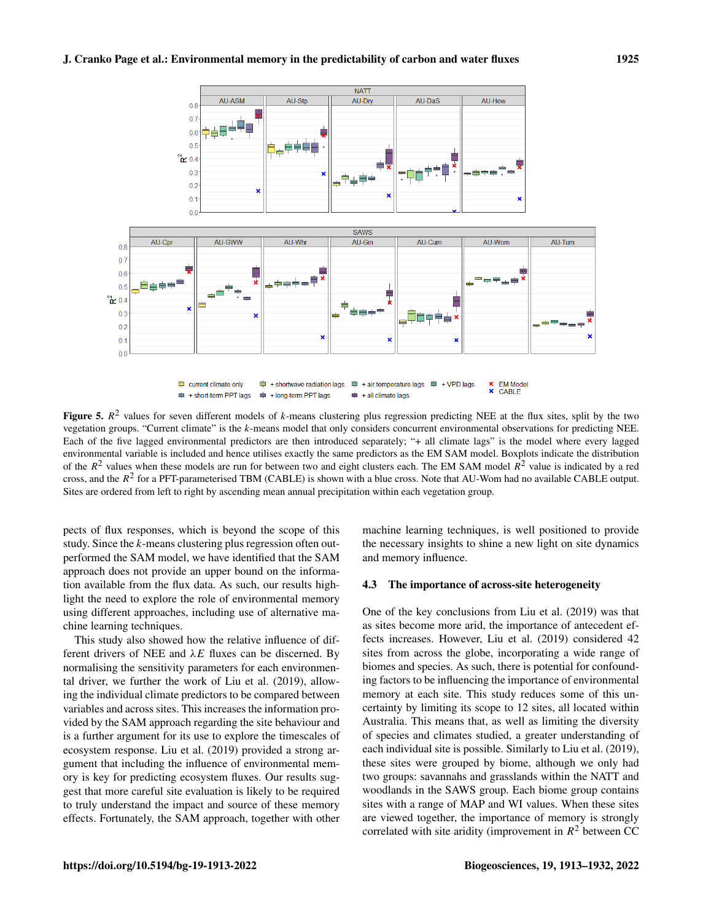# <span id="page-12-0"></span>J. Cranko Page et al.: Environmental memory in the predictability of carbon and water fluxes 1925



Figure 5.  $R^2$  values for seven different models of k-means clustering plus regression predicting NEE at the flux sites, split by the two vegetation groups. "Current climate" is the k-means model that only considers concurrent environmental observations for predicting NEE. Each of the five lagged environmental predictors are then introduced separately; "+ all climate lags" is the model where every lagged environmental variable is included and hence utilises exactly the same predictors as the EM SAM model. Boxplots indicate the distribution of the  $R^2$  values when these models are run for between two and eight clusters each. The EM SAM model  $R^2$  value is indicated by a red cross, and the  $R^2$  for a PFT-parameterised TBM (CABLE) is shown with a blue cross. Note that AU-Wom had no available CABLE output. Sites are ordered from left to right by ascending mean annual precipitation within each vegetation group.

pects of flux responses, which is beyond the scope of this study. Since the k-means clustering plus regression often outperformed the SAM model, we have identified that the SAM approach does not provide an upper bound on the information available from the flux data. As such, our results highlight the need to explore the role of environmental memory using different approaches, including use of alternative machine learning techniques.

This study also showed how the relative influence of different drivers of NEE and  $\lambda E$  fluxes can be discerned. By normalising the sensitivity parameters for each environmental driver, we further the work of [Liu et al.](#page-17-8) [\(2019\)](#page-17-8), allowing the individual climate predictors to be compared between variables and across sites. This increases the information provided by the SAM approach regarding the site behaviour and is a further argument for its use to explore the timescales of ecosystem response. [Liu et al.](#page-17-8) [\(2019\)](#page-17-8) provided a strong argument that including the influence of environmental memory is key for predicting ecosystem fluxes. Our results suggest that more careful site evaluation is likely to be required to truly understand the impact and source of these memory effects. Fortunately, the SAM approach, together with other machine learning techniques, is well positioned to provide the necessary insights to shine a new light on site dynamics and memory influence.

## 4.3 The importance of across-site heterogeneity

One of the key conclusions from [Liu et al.](#page-17-8) [\(2019\)](#page-17-8) was that as sites become more arid, the importance of antecedent effects increases. However, [Liu et al.](#page-17-8) [\(2019\)](#page-17-8) considered 42 sites from across the globe, incorporating a wide range of biomes and species. As such, there is potential for confounding factors to be influencing the importance of environmental memory at each site. This study reduces some of this uncertainty by limiting its scope to 12 sites, all located within Australia. This means that, as well as limiting the diversity of species and climates studied, a greater understanding of each individual site is possible. Similarly to [Liu et al.](#page-17-8) [\(2019\)](#page-17-8), these sites were grouped by biome, although we only had two groups: savannahs and grasslands within the NATT and woodlands in the SAWS group. Each biome group contains sites with a range of MAP and WI values. When these sites are viewed together, the importance of memory is strongly correlated with site aridity (improvement in  $R^2$  between CC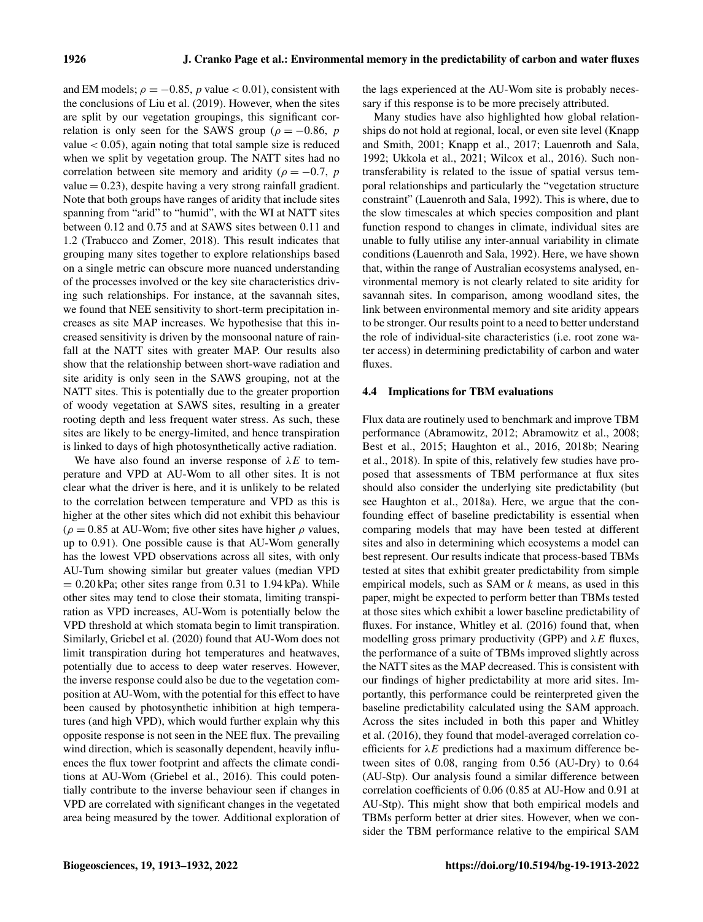and EM models;  $\rho = -0.85$ , p value < 0.01), consistent with the conclusions of [Liu et al.](#page-17-8) [\(2019\)](#page-17-8). However, when the sites are split by our vegetation groupings, this significant correlation is only seen for the SAWS group ( $\rho = -0.86$ , p value  $< 0.05$ ), again noting that total sample size is reduced when we split by vegetation group. The NATT sites had no correlation between site memory and aridity ( $\rho = -0.7$ , p value  $= 0.23$ ), despite having a very strong rainfall gradient. Note that both groups have ranges of aridity that include sites spanning from "arid" to "humid", with the WI at NATT sites between 0.12 and 0.75 and at SAWS sites between 0.11 and 1.2 [\(Trabucco and Zomer,](#page-19-4) [2018\)](#page-19-4). This result indicates that grouping many sites together to explore relationships based on a single metric can obscure more nuanced understanding of the processes involved or the key site characteristics driving such relationships. For instance, at the savannah sites, we found that NEE sensitivity to short-term precipitation increases as site MAP increases. We hypothesise that this increased sensitivity is driven by the monsoonal nature of rainfall at the NATT sites with greater MAP. Our results also show that the relationship between short-wave radiation and site aridity is only seen in the SAWS grouping, not at the NATT sites. This is potentially due to the greater proportion of woody vegetation at SAWS sites, resulting in a greater rooting depth and less frequent water stress. As such, these sites are likely to be energy-limited, and hence transpiration is linked to days of high photosynthetically active radiation.

We have also found an inverse response of  $\lambda E$  to temperature and VPD at AU-Wom to all other sites. It is not clear what the driver is here, and it is unlikely to be related to the correlation between temperature and VPD as this is higher at the other sites which did not exhibit this behaviour ( $\rho = 0.85$  at AU-Wom; five other sites have higher  $\rho$  values, up to 0.91). One possible cause is that AU-Wom generally has the lowest VPD observations across all sites, with only AU-Tum showing similar but greater values (median VPD  $= 0.20$  kPa; other sites range from 0.31 to 1.94 kPa). While other sites may tend to close their stomata, limiting transpiration as VPD increases, AU-Wom is potentially below the VPD threshold at which stomata begin to limit transpiration. Similarly, [Griebel et al.](#page-16-19) [\(2020\)](#page-16-19) found that AU-Wom does not limit transpiration during hot temperatures and heatwaves, potentially due to access to deep water reserves. However, the inverse response could also be due to the vegetation composition at AU-Wom, with the potential for this effect to have been caused by photosynthetic inhibition at high temperatures (and high VPD), which would further explain why this opposite response is not seen in the NEE flux. The prevailing wind direction, which is seasonally dependent, heavily influences the flux tower footprint and affects the climate conditions at AU-Wom [\(Griebel et al.,](#page-16-20) [2016\)](#page-16-20). This could potentially contribute to the inverse behaviour seen if changes in VPD are correlated with significant changes in the vegetated area being measured by the tower. Additional exploration of the lags experienced at the AU-Wom site is probably necessary if this response is to be more precisely attributed.

Many studies have also highlighted how global relationships do not hold at regional, local, or even site level [\(Knapp](#page-17-19) [and Smith,](#page-17-19) [2001;](#page-17-19) [Knapp et al.,](#page-17-20) [2017;](#page-17-20) [Lauenroth and Sala,](#page-17-21) [1992;](#page-17-21) [Ukkola et al.,](#page-19-12) [2021;](#page-19-12) [Wilcox et al.,](#page-19-13) [2016\)](#page-19-13). Such nontransferability is related to the issue of spatial versus temporal relationships and particularly the "vegetation structure constraint" [\(Lauenroth and Sala,](#page-17-21) [1992\)](#page-17-21). This is where, due to the slow timescales at which species composition and plant function respond to changes in climate, individual sites are unable to fully utilise any inter-annual variability in climate conditions [\(Lauenroth and Sala,](#page-17-21) [1992\)](#page-17-21). Here, we have shown that, within the range of Australian ecosystems analysed, environmental memory is not clearly related to site aridity for savannah sites. In comparison, among woodland sites, the link between environmental memory and site aridity appears to be stronger. Our results point to a need to better understand the role of individual-site characteristics (i.e. root zone water access) in determining predictability of carbon and water fluxes.

## 4.4 Implications for TBM evaluations

Flux data are routinely used to benchmark and improve TBM performance [\(Abramowitz,](#page-15-13) [2012;](#page-15-13) [Abramowitz et al.,](#page-15-18) [2008;](#page-15-18) [Best et al.,](#page-15-14) [2015;](#page-15-14) [Haughton et al.,](#page-16-13) [2016,](#page-16-13) [2018b;](#page-16-21) [Nearing](#page-17-22) [et al.,](#page-17-22) [2018\)](#page-17-22). In spite of this, relatively few studies have proposed that assessments of TBM performance at flux sites should also consider the underlying site predictability (but see [Haughton et al.,](#page-16-22) [2018a\)](#page-16-22). Here, we argue that the confounding effect of baseline predictability is essential when comparing models that may have been tested at different sites and also in determining which ecosystems a model can best represent. Our results indicate that process-based TBMs tested at sites that exhibit greater predictability from simple empirical models, such as SAM or  $k$  means, as used in this paper, might be expected to perform better than TBMs tested at those sites which exhibit a lower baseline predictability of fluxes. For instance, [Whitley et al.](#page-19-14) [\(2016\)](#page-19-14) found that, when modelling gross primary productivity (GPP) and  $\lambda E$  fluxes, the performance of a suite of TBMs improved slightly across the NATT sites as the MAP decreased. This is consistent with our findings of higher predictability at more arid sites. Importantly, this performance could be reinterpreted given the baseline predictability calculated using the SAM approach. Across the sites included in both this paper and [Whitley](#page-19-14) [et al.](#page-19-14) [\(2016\)](#page-19-14), they found that model-averaged correlation coefficients for  $\lambda E$  predictions had a maximum difference between sites of 0.08, ranging from 0.56 (AU-Dry) to 0.64 (AU-Stp). Our analysis found a similar difference between correlation coefficients of 0.06 (0.85 at AU-How and 0.91 at AU-Stp). This might show that both empirical models and TBMs perform better at drier sites. However, when we consider the TBM performance relative to the empirical SAM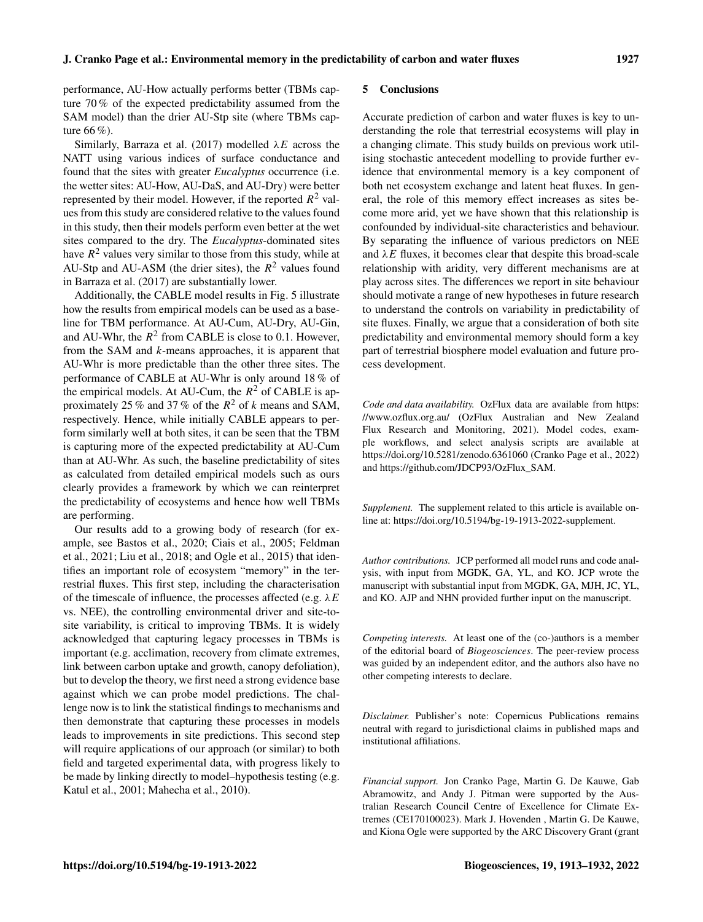performance, AU-How actually performs better (TBMs capture 70 % of the expected predictability assumed from the SAM model) than the drier AU-Stp site (where TBMs capture 66 %).

Similarly, [Barraza et al.](#page-15-19) [\(2017\)](#page-15-19) modelled  $\lambda E$  across the NATT using various indices of surface conductance and found that the sites with greater *Eucalyptus* occurrence (i.e. the wetter sites: AU-How, AU-DaS, and AU-Dry) were better represented by their model. However, if the reported  $R^2$  values from this study are considered relative to the values found in this study, then their models perform even better at the wet sites compared to the dry. The *Eucalyptus*-dominated sites have  $R^2$  values very similar to those from this study, while at AU-Stp and AU-ASM (the drier sites), the  $R^2$  values found in [Barraza et al.](#page-15-19) [\(2017\)](#page-15-19) are substantially lower.

Additionally, the CABLE model results in Fig. [5](#page-12-0) illustrate how the results from empirical models can be used as a baseline for TBM performance. At AU-Cum, AU-Dry, AU-Gin, and AU-Whr, the  $R^2$  from CABLE is close to 0.1. However, from the SAM and k-means approaches, it is apparent that AU-Whr is more predictable than the other three sites. The performance of CABLE at AU-Whr is only around 18 % of the empirical models. At AU-Cum, the  $R^2$  of CABLE is approximately 25 % and 37 % of the  $R^2$  of k means and SAM, respectively. Hence, while initially CABLE appears to perform similarly well at both sites, it can be seen that the TBM is capturing more of the expected predictability at AU-Cum than at AU-Whr. As such, the baseline predictability of sites as calculated from detailed empirical models such as ours clearly provides a framework by which we can reinterpret the predictability of ecosystems and hence how well TBMs are performing.

Our results add to a growing body of research (for example, see [Bastos et al.,](#page-15-20) [2020;](#page-15-20) [Ciais et al.,](#page-15-17) [2005;](#page-15-17) [Feldman](#page-16-1) [et al.,](#page-16-1) [2021;](#page-16-1) [Liu et al.,](#page-17-4) [2018;](#page-17-4) and [Ogle et al.,](#page-18-5) [2015\)](#page-18-5) that identifies an important role of ecosystem "memory" in the terrestrial fluxes. This first step, including the characterisation of the timescale of influence, the processes affected (e.g.  $\lambda E$ vs. NEE), the controlling environmental driver and site-tosite variability, is critical to improving TBMs. It is widely acknowledged that capturing legacy processes in TBMs is important (e.g. acclimation, recovery from climate extremes, link between carbon uptake and growth, canopy defoliation), but to develop the theory, we first need a strong evidence base against which we can probe model predictions. The challenge now is to link the statistical findings to mechanisms and then demonstrate that capturing these processes in models leads to improvements in site predictions. This second step will require applications of our approach (or similar) to both field and targeted experimental data, with progress likely to be made by linking directly to model–hypothesis testing (e.g. [Katul et al.,](#page-17-23) [2001;](#page-17-23) [Mahecha et al.,](#page-17-24) [2010\)](#page-17-24).

#### 5 Conclusions

Accurate prediction of carbon and water fluxes is key to understanding the role that terrestrial ecosystems will play in a changing climate. This study builds on previous work utilising stochastic antecedent modelling to provide further evidence that environmental memory is a key component of both net ecosystem exchange and latent heat fluxes. In general, the role of this memory effect increases as sites become more arid, yet we have shown that this relationship is confounded by individual-site characteristics and behaviour. By separating the influence of various predictors on NEE and  $\lambda E$  fluxes, it becomes clear that despite this broad-scale relationship with aridity, very different mechanisms are at play across sites. The differences we report in site behaviour should motivate a range of new hypotheses in future research to understand the controls on variability in predictability of site fluxes. Finally, we argue that a consideration of both site predictability and environmental memory should form a key part of terrestrial biosphere model evaluation and future process development.

*Code and data availability.* OzFlux data are available from [https:](https://www.ozflux.org.au/) [//www.ozflux.org.au/](https://www.ozflux.org.au/) [\(OzFlux Australian and New Zealand](#page-18-26) [Flux Research and Monitoring,](#page-18-26) [2021\)](#page-18-26). Model codes, example workflows, and select analysis scripts are available at https://doi.org[/10.5281/zenodo.6361060](https://doi.org/10.5281/zenodo.6361060) [\(Cranko Page et al.,](#page-16-23) [2022\)](#page-16-23) and [https://github.com/JDCP93/OzFlux\\_SAM.](https://github.com/JDCP93/OzFlux_SAM)

*Supplement.* The supplement related to this article is available online at: [https://doi.org/10.5194/bg-19-1913-2022-supplement.](https://doi.org/10.5194/bg-19-1913-2022-supplement)

*Author contributions.* JCP performed all model runs and code analysis, with input from MGDK, GA, YL, and KO. JCP wrote the manuscript with substantial input from MGDK, GA, MJH, JC, YL, and KO. AJP and NHN provided further input on the manuscript.

*Competing interests.* At least one of the (co-)authors is a member of the editorial board of *Biogeosciences*. The peer-review process was guided by an independent editor, and the authors also have no other competing interests to declare.

*Disclaimer.* Publisher's note: Copernicus Publications remains neutral with regard to jurisdictional claims in published maps and institutional affiliations.

*Financial support.* Jon Cranko Page, Martin G. De Kauwe, Gab Abramowitz, and Andy J. Pitman were supported by the Australian Research Council Centre of Excellence for Climate Extremes (CE170100023). Mark J. Hovenden , Martin G. De Kauwe, and Kiona Ogle were supported by the ARC Discovery Grant (grant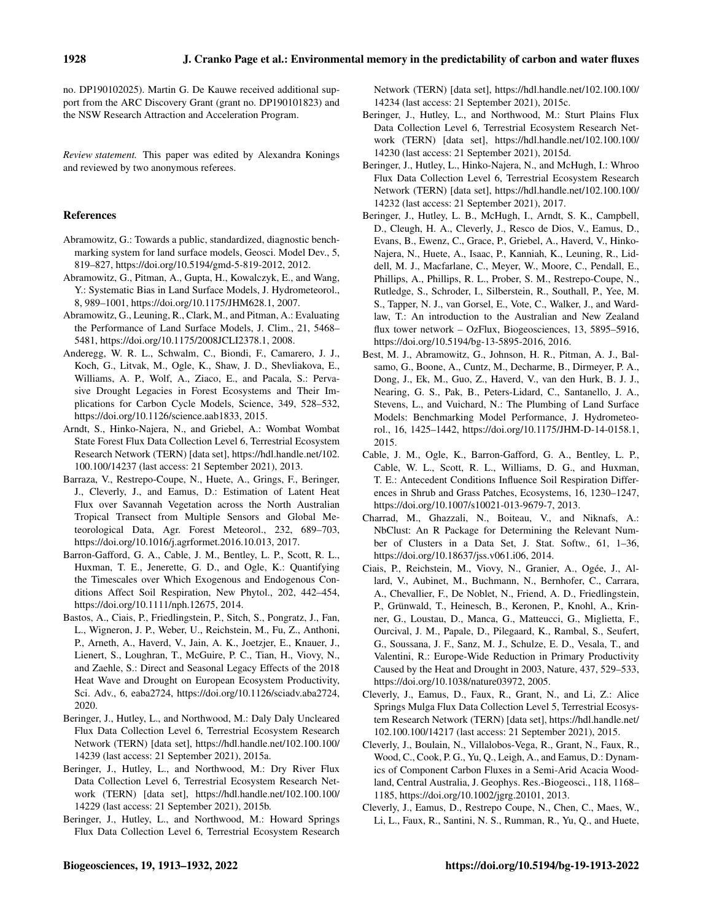no. DP190102025). Martin G. De Kauwe received additional support from the ARC Discovery Grant (grant no. DP190101823) and the NSW Research Attraction and Acceleration Program.

*Review statement.* This paper was edited by Alexandra Konings and reviewed by two anonymous referees.

## References

- <span id="page-15-13"></span>Abramowitz, G.: Towards a public, standardized, diagnostic benchmarking system for land surface models, Geosci. Model Dev., 5, 819–827, https://doi.org[/10.5194/gmd-5-819-2012,](https://doi.org/10.5194/gmd-5-819-2012) 2012.
- <span id="page-15-16"></span>Abramowitz, G., Pitman, A., Gupta, H., Kowalczyk, E., and Wang, Y.: Systematic Bias in Land Surface Models, J. Hydrometeorol., 8, 989–1001, https://doi.org[/10.1175/JHM628.1,](https://doi.org/10.1175/JHM628.1) 2007.
- <span id="page-15-18"></span>Abramowitz, G., Leuning, R., Clark, M., and Pitman, A.: Evaluating the Performance of Land Surface Models, J. Clim., 21, 5468– 5481, https://doi.org[/10.1175/2008JCLI2378.1,](https://doi.org/10.1175/2008JCLI2378.1) 2008.
- <span id="page-15-0"></span>Anderegg, W. R. L., Schwalm, C., Biondi, F., Camarero, J. J., Koch, G., Litvak, M., Ogle, K., Shaw, J. D., Shevliakova, E., Williams, A. P., Wolf, A., Ziaco, E., and Pacala, S.: Pervasive Drought Legacies in Forest Ecosystems and Their Implications for Carbon Cycle Models, Science, 349, 528–532, https://doi.org[/10.1126/science.aab1833,](https://doi.org/10.1126/science.aab1833) 2015.
- <span id="page-15-12"></span>Arndt, S., Hinko-Najera, N., and Griebel, A.: Wombat Wombat State Forest Flux Data Collection Level 6, Terrestrial Ecosystem Research Network (TERN) [data set], [https://hdl.handle.net/102.](https://hdl.handle.net/102.100.100/14237) [100.100/14237](https://hdl.handle.net/102.100.100/14237) (last access: 21 September 2021), 2013.
- <span id="page-15-19"></span>Barraza, V., Restrepo-Coupe, N., Huete, A., Grings, F., Beringer, J., Cleverly, J., and Eamus, D.: Estimation of Latent Heat Flux over Savannah Vegetation across the North Australian Tropical Transect from Multiple Sensors and Global Meteorological Data, Agr. Forest Meteorol., 232, 689–703, https://doi.org[/10.1016/j.agrformet.2016.10.013,](https://doi.org/10.1016/j.agrformet.2016.10.013) 2017.
- <span id="page-15-4"></span>Barron-Gafford, G. A., Cable, J. M., Bentley, L. P., Scott, R. L., Huxman, T. E., Jenerette, G. D., and Ogle, K.: Quantifying the Timescales over Which Exogenous and Endogenous Conditions Affect Soil Respiration, New Phytol., 202, 442–454, https://doi.org[/10.1111/nph.12675,](https://doi.org/10.1111/nph.12675) 2014.
- <span id="page-15-20"></span>Bastos, A., Ciais, P., Friedlingstein, P., Sitch, S., Pongratz, J., Fan, L., Wigneron, J. P., Weber, U., Reichstein, M., Fu, Z., Anthoni, P., Arneth, A., Haverd, V., Jain, A. K., Joetzjer, E., Knauer, J., Lienert, S., Loughran, T., McGuire, P. C., Tian, H., Viovy, N., and Zaehle, S.: Direct and Seasonal Legacy Effects of the 2018 Heat Wave and Drought on European Ecosystem Productivity, Sci. Adv., 6, eaba2724, https://doi.org[/10.1126/sciadv.aba2724,](https://doi.org/10.1126/sciadv.aba2724) 2020.
- <span id="page-15-7"></span>Beringer, J., Hutley, L., and Northwood, M.: Daly Daly Uncleared Flux Data Collection Level 6, Terrestrial Ecosystem Research Network (TERN) [data set], [https://hdl.handle.net/102.100.100/](https://hdl.handle.net/102.100.100/14239) [14239](https://hdl.handle.net/102.100.100/14239) (last access: 21 September 2021), 2015a.
- <span id="page-15-8"></span>Beringer, J., Hutley, L., and Northwood, M.: Dry River Flux Data Collection Level 6, Terrestrial Ecosystem Research Network (TERN) [data set], [https://hdl.handle.net/102.100.100/](https://hdl.handle.net/102.100.100/14229) [14229](https://hdl.handle.net/102.100.100/14229) (last access: 21 September 2021), 2015b.
- <span id="page-15-9"></span>Beringer, J., Hutley, L., and Northwood, M.: Howard Springs Flux Data Collection Level 6, Terrestrial Ecosystem Research

Network (TERN) [data set], [https://hdl.handle.net/102.100.100/](https://hdl.handle.net/102.100.100/14234) [14234](https://hdl.handle.net/102.100.100/14234) (last access: 21 September 2021), 2015c.

- <span id="page-15-10"></span>Beringer, J., Hutley, L., and Northwood, M.: Sturt Plains Flux Data Collection Level 6, Terrestrial Ecosystem Research Network (TERN) [data set], [https://hdl.handle.net/102.100.100/](https://hdl.handle.net/102.100.100/14230) [14230](https://hdl.handle.net/102.100.100/14230) (last access: 21 September 2021), 2015d.
- <span id="page-15-11"></span>Beringer, J., Hutley, L., Hinko-Najera, N., and McHugh, I.: Whroo Flux Data Collection Level 6, Terrestrial Ecosystem Research Network (TERN) [data set], [https://hdl.handle.net/102.100.100/](https://hdl.handle.net/102.100.100/14232) [14232](https://hdl.handle.net/102.100.100/14232) (last access: 21 September 2021), 2017.
- <span id="page-15-5"></span>Beringer, J., Hutley, L. B., McHugh, I., Arndt, S. K., Campbell, D., Cleugh, H. A., Cleverly, J., Resco de Dios, V., Eamus, D., Evans, B., Ewenz, C., Grace, P., Griebel, A., Haverd, V., Hinko-Najera, N., Huete, A., Isaac, P., Kanniah, K., Leuning, R., Liddell, M. J., Macfarlane, C., Meyer, W., Moore, C., Pendall, E., Phillips, A., Phillips, R. L., Prober, S. M., Restrepo-Coupe, N., Rutledge, S., Schroder, I., Silberstein, R., Southall, P., Yee, M. S., Tapper, N. J., van Gorsel, E., Vote, C., Walker, J., and Wardlaw, T.: An introduction to the Australian and New Zealand flux tower network – OzFlux, Biogeosciences, 13, 5895–5916, https://doi.org[/10.5194/bg-13-5895-2016,](https://doi.org/10.5194/bg-13-5895-2016) 2016.
- <span id="page-15-14"></span>Best, M. J., Abramowitz, G., Johnson, H. R., Pitman, A. J., Balsamo, G., Boone, A., Cuntz, M., Decharme, B., Dirmeyer, P. A., Dong, J., Ek, M., Guo, Z., Haverd, V., van den Hurk, B. J. J., Nearing, G. S., Pak, B., Peters-Lidard, C., Santanello, J. A., Stevens, L., and Vuichard, N.: The Plumbing of Land Surface Models: Benchmarking Model Performance, J. Hydrometeorol., 16, 1425–1442, https://doi.org[/10.1175/JHM-D-14-0158.1,](https://doi.org/10.1175/JHM-D-14-0158.1) 2015.
- <span id="page-15-1"></span>Cable, J. M., Ogle, K., Barron-Gafford, G. A., Bentley, L. P., Cable, W. L., Scott, R. L., Williams, D. G., and Huxman, T. E.: Antecedent Conditions Influence Soil Respiration Differences in Shrub and Grass Patches, Ecosystems, 16, 1230–1247, https://doi.org[/10.1007/s10021-013-9679-7,](https://doi.org/10.1007/s10021-013-9679-7) 2013.
- <span id="page-15-15"></span>Charrad, M., Ghazzali, N., Boiteau, V., and Niknafs, A.: NbClust: An R Package for Determining the Relevant Number of Clusters in a Data Set, J. Stat. Softw., 61, 1–36, https://doi.org[/10.18637/jss.v061.i06,](https://doi.org/10.18637/jss.v061.i06) 2014.
- <span id="page-15-17"></span>Ciais, P., Reichstein, M., Viovy, N., Granier, A., Ogée, J., Allard, V., Aubinet, M., Buchmann, N., Bernhofer, C., Carrara, A., Chevallier, F., De Noblet, N., Friend, A. D., Friedlingstein, P., Grünwald, T., Heinesch, B., Keronen, P., Knohl, A., Krinner, G., Loustau, D., Manca, G., Matteucci, G., Miglietta, F., Ourcival, J. M., Papale, D., Pilegaard, K., Rambal, S., Seufert, G., Soussana, J. F., Sanz, M. J., Schulze, E. D., Vesala, T., and Valentini, R.: Europe-Wide Reduction in Primary Productivity Caused by the Heat and Drought in 2003, Nature, 437, 529–533, https://doi.org[/10.1038/nature03972,](https://doi.org/10.1038/nature03972) 2005.
- <span id="page-15-6"></span>Cleverly, J., Eamus, D., Faux, R., Grant, N., and Li, Z.: Alice Springs Mulga Flux Data Collection Level 5, Terrestrial Ecosystem Research Network (TERN) [data set], [https://hdl.handle.net/](https://hdl.handle.net/102.100.100/14217) [102.100.100/14217](https://hdl.handle.net/102.100.100/14217) (last access: 21 September 2021), 2015.
- <span id="page-15-2"></span>Cleverly, J., Boulain, N., Villalobos-Vega, R., Grant, N., Faux, R., Wood, C., Cook, P. G., Yu, Q., Leigh, A., and Eamus, D.: Dynamics of Component Carbon Fluxes in a Semi-Arid Acacia Woodland, Central Australia, J. Geophys. Res.-Biogeosci., 118, 1168– 1185, https://doi.org[/10.1002/jgrg.20101,](https://doi.org/10.1002/jgrg.20101) 2013.
- <span id="page-15-3"></span>Cleverly, J., Eamus, D., Restrepo Coupe, N., Chen, C., Maes, W., Li, L., Faux, R., Santini, N. S., Rumman, R., Yu, Q., and Huete,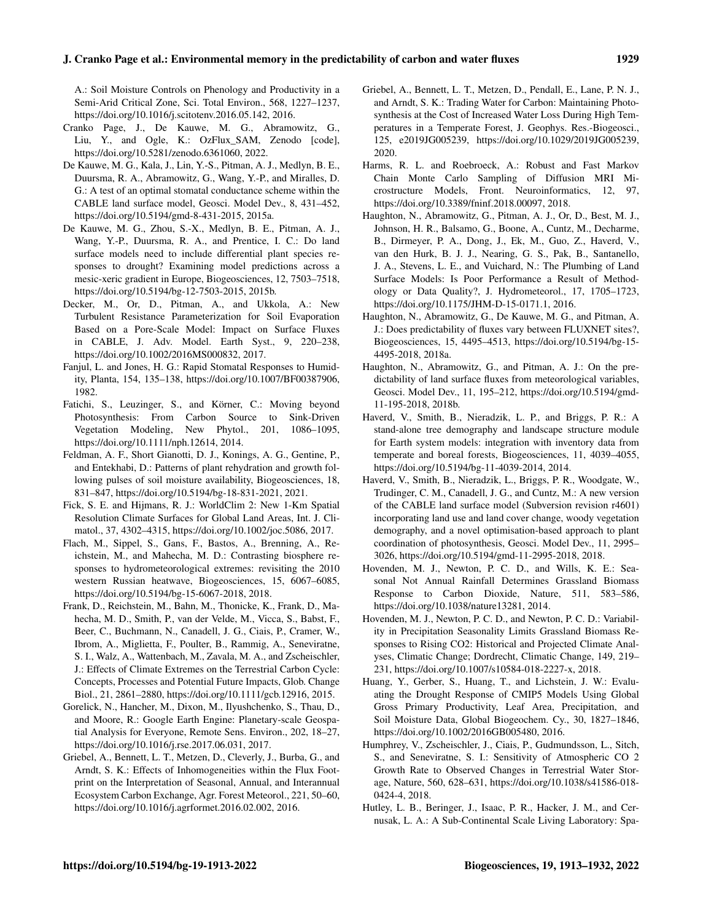### J. Cranko Page et al.: Environmental memory in the predictability of carbon and water fluxes 1929

A.: Soil Moisture Controls on Phenology and Productivity in a Semi-Arid Critical Zone, Sci. Total Environ., 568, 1227–1237, https://doi.org[/10.1016/j.scitotenv.2016.05.142,](https://doi.org/10.1016/j.scitotenv.2016.05.142) 2016.

- <span id="page-16-23"></span>Cranko Page, J., De Kauwe, M. G., Abramowitz, G., Liu, Y., and Ogle, K.: OzFlux\_SAM, Zenodo [code], https://doi.org[/10.5281/zenodo.6361060,](https://doi.org/10.5281/zenodo.6361060) 2022.
- <span id="page-16-9"></span>De Kauwe, M. G., Kala, J., Lin, Y.-S., Pitman, A. J., Medlyn, B. E., Duursma, R. A., Abramowitz, G., Wang, Y.-P., and Miralles, D. G.: A test of an optimal stomatal conductance scheme within the CABLE land surface model, Geosci. Model Dev., 8, 431–452, https://doi.org[/10.5194/gmd-8-431-2015,](https://doi.org/10.5194/gmd-8-431-2015) 2015a.
- <span id="page-16-14"></span>De Kauwe, M. G., Zhou, S.-X., Medlyn, B. E., Pitman, A. J., Wang, Y.-P., Duursma, R. A., and Prentice, I. C.: Do land surface models need to include differential plant species responses to drought? Examining model predictions across a mesic-xeric gradient in Europe, Biogeosciences, 12, 7503–7518, https://doi.org[/10.5194/bg-12-7503-2015,](https://doi.org/10.5194/bg-12-7503-2015) 2015b.
- <span id="page-16-15"></span>Decker, M., Or, D., Pitman, A., and Ukkola, A.: New Turbulent Resistance Parameterization for Soil Evaporation Based on a Pore-Scale Model: Impact on Surface Fluxes in CABLE, J. Adv. Model. Earth Syst., 9, 220–238, https://doi.org[/10.1002/2016MS000832,](https://doi.org/10.1002/2016MS000832) 2017.
- <span id="page-16-0"></span>Fanjul, L. and Jones, H. G.: Rapid Stomatal Responses to Humidity, Planta, 154, 135–138, https://doi.org[/10.1007/BF00387906,](https://doi.org/10.1007/BF00387906) 1982.
- <span id="page-16-3"></span>Fatichi, S., Leuzinger, S., and Körner, C.: Moving beyond Photosynthesis: From Carbon Source to Sink-Driven Vegetation Modeling, New Phytol., 201, 1086–1095, https://doi.org[/10.1111/nph.12614,](https://doi.org/10.1111/nph.12614) 2014.
- <span id="page-16-1"></span>Feldman, A. F., Short Gianotti, D. J., Konings, A. G., Gentine, P., and Entekhabi, D.: Patterns of plant rehydration and growth following pulses of soil moisture availability, Biogeosciences, 18, 831–847, https://doi.org[/10.5194/bg-18-831-2021,](https://doi.org/10.5194/bg-18-831-2021) 2021.
- <span id="page-16-10"></span>Fick, S. E. and Hijmans, R. J.: WorldClim 2: New 1-Km Spatial Resolution Climate Surfaces for Global Land Areas, Int. J. Climatol., 37, 4302–4315, https://doi.org[/10.1002/joc.5086,](https://doi.org/10.1002/joc.5086) 2017.
- <span id="page-16-18"></span>Flach, M., Sippel, S., Gans, F., Bastos, A., Brenning, A., Reichstein, M., and Mahecha, M. D.: Contrasting biosphere responses to hydrometeorological extremes: revisiting the 2010 western Russian heatwave, Biogeosciences, 15, 6067–6085, https://doi.org[/10.5194/bg-15-6067-2018,](https://doi.org/10.5194/bg-15-6067-2018) 2018.
- <span id="page-16-2"></span>Frank, D., Reichstein, M., Bahn, M., Thonicke, K., Frank, D., Mahecha, M. D., Smith, P., van der Velde, M., Vicca, S., Babst, F., Beer, C., Buchmann, N., Canadell, J. G., Ciais, P., Cramer, W., Ibrom, A., Miglietta, F., Poulter, B., Rammig, A., Seneviratne, S. I., Walz, A., Wattenbach, M., Zavala, M. A., and Zscheischler, J.: Effects of Climate Extremes on the Terrestrial Carbon Cycle: Concepts, Processes and Potential Future Impacts, Glob. Change Biol., 21, 2861–2880, https://doi.org[/10.1111/gcb.12916,](https://doi.org/10.1111/gcb.12916) 2015.
- <span id="page-16-11"></span>Gorelick, N., Hancher, M., Dixon, M., Ilyushchenko, S., Thau, D., and Moore, R.: Google Earth Engine: Planetary-scale Geospatial Analysis for Everyone, Remote Sens. Environ., 202, 18–27, https://doi.org[/10.1016/j.rse.2017.06.031,](https://doi.org/10.1016/j.rse.2017.06.031) 2017.
- <span id="page-16-20"></span>Griebel, A., Bennett, L. T., Metzen, D., Cleverly, J., Burba, G., and Arndt, S. K.: Effects of Inhomogeneities within the Flux Footprint on the Interpretation of Seasonal, Annual, and Interannual Ecosystem Carbon Exchange, Agr. Forest Meteorol., 221, 50–60, https://doi.org[/10.1016/j.agrformet.2016.02.002,](https://doi.org/10.1016/j.agrformet.2016.02.002) 2016.
- <span id="page-16-19"></span>Griebel, A., Bennett, L. T., Metzen, D., Pendall, E., Lane, P. N. J., and Arndt, S. K.: Trading Water for Carbon: Maintaining Photosynthesis at the Cost of Increased Water Loss During High Temperatures in a Temperate Forest, J. Geophys. Res.-Biogeosci., 125, e2019JG005239, https://doi.org[/10.1029/2019JG005239,](https://doi.org/10.1029/2019JG005239) 2020.
- <span id="page-16-12"></span>Harms, R. L. and Roebroeck, A.: Robust and Fast Markov Chain Monte Carlo Sampling of Diffusion MRI Microstructure Models, Front. Neuroinformatics, 12, 97, https://doi.org[/10.3389/fninf.2018.00097,](https://doi.org/10.3389/fninf.2018.00097) 2018.
- <span id="page-16-13"></span>Haughton, N., Abramowitz, G., Pitman, A. J., Or, D., Best, M. J., Johnson, H. R., Balsamo, G., Boone, A., Cuntz, M., Decharme, B., Dirmeyer, P. A., Dong, J., Ek, M., Guo, Z., Haverd, V., van den Hurk, B. J. J., Nearing, G. S., Pak, B., Santanello, J. A., Stevens, L. E., and Vuichard, N.: The Plumbing of Land Surface Models: Is Poor Performance a Result of Methodology or Data Quality?, J. Hydrometeorol., 17, 1705–1723, https://doi.org[/10.1175/JHM-D-15-0171.1,](https://doi.org/10.1175/JHM-D-15-0171.1) 2016.
- <span id="page-16-22"></span>Haughton, N., Abramowitz, G., De Kauwe, M. G., and Pitman, A. J.: Does predictability of fluxes vary between FLUXNET sites?, Biogeosciences, 15, 4495–4513, https://doi.org[/10.5194/bg-15-](https://doi.org/10.5194/bg-15-4495-2018) [4495-2018,](https://doi.org/10.5194/bg-15-4495-2018) 2018a.
- <span id="page-16-21"></span>Haughton, N., Abramowitz, G., and Pitman, A. J.: On the predictability of land surface fluxes from meteorological variables, Geosci. Model Dev., 11, 195–212, https://doi.org[/10.5194/gmd-](https://doi.org/10.5194/gmd-11-195-2018)[11-195-2018,](https://doi.org/10.5194/gmd-11-195-2018) 2018b.
- <span id="page-16-17"></span>Haverd, V., Smith, B., Nieradzik, L. P., and Briggs, P. R.: A stand-alone tree demography and landscape structure module for Earth system models: integration with inventory data from temperate and boreal forests, Biogeosciences, 11, 4039–4055, https://doi.org[/10.5194/bg-11-4039-2014,](https://doi.org/10.5194/bg-11-4039-2014) 2014.
- <span id="page-16-16"></span>Haverd, V., Smith, B., Nieradzik, L., Briggs, P. R., Woodgate, W., Trudinger, C. M., Canadell, J. G., and Cuntz, M.: A new version of the CABLE land surface model (Subversion revision r4601) incorporating land use and land cover change, woody vegetation demography, and a novel optimisation-based approach to plant coordination of photosynthesis, Geosci. Model Dev., 11, 2995– 3026, https://doi.org[/10.5194/gmd-11-2995-2018,](https://doi.org/10.5194/gmd-11-2995-2018) 2018.
- <span id="page-16-6"></span>Hovenden, M. J., Newton, P. C. D., and Wills, K. E.: Seasonal Not Annual Rainfall Determines Grassland Biomass Response to Carbon Dioxide, Nature, 511, 583–586, https://doi.org[/10.1038/nature13281,](https://doi.org/10.1038/nature13281) 2014.
- <span id="page-16-7"></span>Hovenden, M. J., Newton, P. C. D., and Newton, P. C. D.: Variability in Precipitation Seasonality Limits Grassland Biomass Responses to Rising CO2: Historical and Projected Climate Analyses, Climatic Change; Dordrecht, Climatic Change, 149, 219– 231, https://doi.org[/10.1007/s10584-018-2227-x,](https://doi.org/10.1007/s10584-018-2227-x) 2018.
- <span id="page-16-4"></span>Huang, Y., Gerber, S., Huang, T., and Lichstein, J. W.: Evaluating the Drought Response of CMIP5 Models Using Global Gross Primary Productivity, Leaf Area, Precipitation, and Soil Moisture Data, Global Biogeochem. Cy., 30, 1827–1846, https://doi.org[/10.1002/2016GB005480,](https://doi.org/10.1002/2016GB005480) 2016.
- <span id="page-16-5"></span>Humphrey, V., Zscheischler, J., Ciais, P., Gudmundsson, L., Sitch, S., and Seneviratne, S. I.: Sensitivity of Atmospheric CO 2 Growth Rate to Observed Changes in Terrestrial Water Storage, Nature, 560, 628–631, https://doi.org[/10.1038/s41586-018-](https://doi.org/10.1038/s41586-018-0424-4) [0424-4,](https://doi.org/10.1038/s41586-018-0424-4) 2018.
- <span id="page-16-8"></span>Hutley, L. B., Beringer, J., Isaac, P. R., Hacker, J. M., and Cernusak, L. A.: A Sub-Continental Scale Living Laboratory: Spa-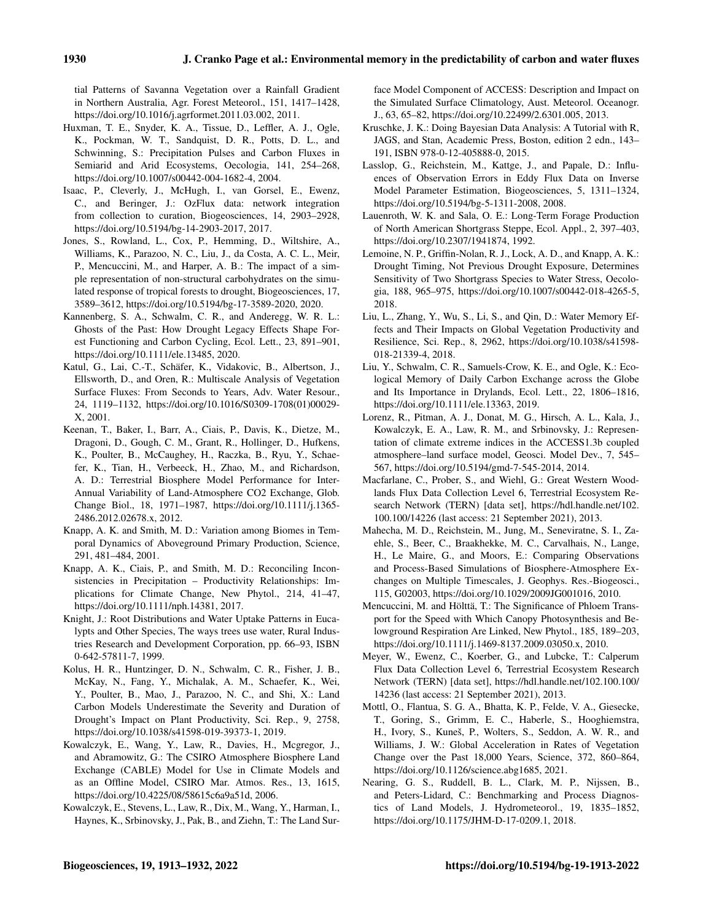tial Patterns of Savanna Vegetation over a Rainfall Gradient in Northern Australia, Agr. Forest Meteorol., 151, 1417–1428, https://doi.org[/10.1016/j.agrformet.2011.03.002,](https://doi.org/10.1016/j.agrformet.2011.03.002) 2011.

- <span id="page-17-2"></span>Huxman, T. E., Snyder, K. A., Tissue, D., Leffler, A. J., Ogle, K., Pockman, W. T., Sandquist, D. R., Potts, D. L., and Schwinning, S.: Precipitation Pulses and Carbon Fluxes in Semiarid and Arid Ecosystems, Oecologia, 141, 254–268, https://doi.org[/10.1007/s00442-004-1682-4,](https://doi.org/10.1007/s00442-004-1682-4) 2004.
- <span id="page-17-9"></span>Isaac, P., Cleverly, J., McHugh, I., van Gorsel, E., Ewenz, C., and Beringer, J.: OzFlux data: network integration from collection to curation, Biogeosciences, 14, 2903–2928, https://doi.org[/10.5194/bg-14-2903-2017,](https://doi.org/10.5194/bg-14-2903-2017) 2017.
- <span id="page-17-5"></span>Jones, S., Rowland, L., Cox, P., Hemming, D., Wiltshire, A., Williams, K., Parazoo, N. C., Liu, J., da Costa, A. C. L., Meir, P., Mencuccini, M., and Harper, A. B.: The impact of a simple representation of non-structural carbohydrates on the simulated response of tropical forests to drought, Biogeosciences, 17, 3589–3612, https://doi.org[/10.5194/bg-17-3589-2020,](https://doi.org/10.5194/bg-17-3589-2020) 2020.
- <span id="page-17-1"></span>Kannenberg, S. A., Schwalm, C. R., and Anderegg, W. R. L.: Ghosts of the Past: How Drought Legacy Effects Shape Forest Functioning and Carbon Cycling, Ecol. Lett., 23, 891–901, https://doi.org[/10.1111/ele.13485,](https://doi.org/10.1111/ele.13485) 2020.
- <span id="page-17-23"></span>Katul, G., Lai, C.-T., Schäfer, K., Vidakovic, B., Albertson, J., Ellsworth, D., and Oren, R.: Multiscale Analysis of Vegetation Surface Fluxes: From Seconds to Years, Adv. Water Resour., 24, 1119–1132, https://doi.org[/10.1016/S0309-1708\(01\)00029-](https://doi.org/10.1016/S0309-1708(01)00029-X) [X,](https://doi.org/10.1016/S0309-1708(01)00029-X) 2001.
- <span id="page-17-7"></span>Keenan, T., Baker, I., Barr, A., Ciais, P., Davis, K., Dietze, M., Dragoni, D., Gough, C. M., Grant, R., Hollinger, D., Hufkens, K., Poulter, B., McCaughey, H., Raczka, B., Ryu, Y., Schaefer, K., Tian, H., Verbeeck, H., Zhao, M., and Richardson, A. D.: Terrestrial Biosphere Model Performance for Inter-Annual Variability of Land-Atmosphere CO2 Exchange, Glob. Change Biol., 18, 1971–1987, https://doi.org[/10.1111/j.1365-](https://doi.org/10.1111/j.1365-2486.2012.02678.x) [2486.2012.02678.x,](https://doi.org/10.1111/j.1365-2486.2012.02678.x) 2012.
- <span id="page-17-19"></span>Knapp, A. K. and Smith, M. D.: Variation among Biomes in Temporal Dynamics of Aboveground Primary Production, Science, 291, 481–484, 2001.
- <span id="page-17-20"></span>Knapp, A. K., Ciais, P., and Smith, M. D.: Reconciling Inconsistencies in Precipitation – Productivity Relationships: Implications for Climate Change, New Phytol., 214, 41–47, https://doi.org[/10.1111/nph.14381,](https://doi.org/10.1111/nph.14381) 2017.
- <span id="page-17-13"></span>Knight, J.: Root Distributions and Water Uptake Patterns in Eucalypts and Other Species, The ways trees use water, Rural Industries Research and Development Corporation, pp. 66–93, ISBN 0-642-57811-7, 1999.
- <span id="page-17-6"></span>Kolus, H. R., Huntzinger, D. N., Schwalm, C. R., Fisher, J. B., McKay, N., Fang, Y., Michalak, A. M., Schaefer, K., Wei, Y., Poulter, B., Mao, J., Parazoo, N. C., and Shi, X.: Land Carbon Models Underestimate the Severity and Duration of Drought's Impact on Plant Productivity, Sci. Rep., 9, 2758, https://doi.org[/10.1038/s41598-019-39373-1,](https://doi.org/10.1038/s41598-019-39373-1) 2019.
- <span id="page-17-15"></span>Kowalczyk, E., Wang, Y., Law, R., Davies, H., Mcgregor, J., and Abramowitz, G.: The CSIRO Atmosphere Biosphere Land Exchange (CABLE) Model for Use in Climate Models and as an Offline Model, CSIRO Mar. Atmos. Res., 13, 1615, https://doi.org[/10.4225/08/58615c6a9a51d,](https://doi.org/10.4225/08/58615c6a9a51d) 2006.
- <span id="page-17-17"></span>Kowalczyk, E., Stevens, L., Law, R., Dix, M., Wang, Y., Harman, I., Haynes, K., Srbinovsky, J., Pak, B., and Ziehn, T.: The Land Sur-

face Model Component of ACCESS: Description and Impact on the Simulated Surface Climatology, Aust. Meteorol. Oceanogr. J., 63, 65–82, https://doi.org[/10.22499/2.6301.005,](https://doi.org/10.22499/2.6301.005) 2013.

- <span id="page-17-14"></span>Kruschke, J. K.: Doing Bayesian Data Analysis: A Tutorial with R, JAGS, and Stan, Academic Press, Boston, edition 2 edn., 143– 191, ISBN 978-0-12-405888-0, 2015.
- <span id="page-17-12"></span>Lasslop, G., Reichstein, M., Kattge, J., and Papale, D.: Influences of Observation Errors in Eddy Flux Data on Inverse Model Parameter Estimation, Biogeosciences, 5, 1311–1324, https://doi.org[/10.5194/bg-5-1311-2008,](https://doi.org/10.5194/bg-5-1311-2008) 2008.
- <span id="page-17-21"></span>Lauenroth, W. K. and Sala, O. E.: Long-Term Forage Production of North American Shortgrass Steppe, Ecol. Appl., 2, 397–403, https://doi.org[/10.2307/1941874,](https://doi.org/10.2307/1941874) 1992.
- <span id="page-17-3"></span>Lemoine, N. P., Griffin-Nolan, R. J., Lock, A. D., and Knapp, A. K.: Drought Timing, Not Previous Drought Exposure, Determines Sensitivity of Two Shortgrass Species to Water Stress, Oecologia, 188, 965–975, https://doi.org[/10.1007/s00442-018-4265-5,](https://doi.org/10.1007/s00442-018-4265-5) 2018.
- <span id="page-17-4"></span>Liu, L., Zhang, Y., Wu, S., Li, S., and Qin, D.: Water Memory Effects and Their Impacts on Global Vegetation Productivity and Resilience, Sci. Rep., 8, 2962, https://doi.org[/10.1038/s41598-](https://doi.org/10.1038/s41598-018-21339-4) [018-21339-4,](https://doi.org/10.1038/s41598-018-21339-4) 2018.
- <span id="page-17-8"></span>Liu, Y., Schwalm, C. R., Samuels-Crow, K. E., and Ogle, K.: Ecological Memory of Daily Carbon Exchange across the Globe and Its Importance in Drylands, Ecol. Lett., 22, 1806–1816, https://doi.org[/10.1111/ele.13363,](https://doi.org/10.1111/ele.13363) 2019.
- <span id="page-17-16"></span>Lorenz, R., Pitman, A. J., Donat, M. G., Hirsch, A. L., Kala, J., Kowalczyk, E. A., Law, R. M., and Srbinovsky, J.: Representation of climate extreme indices in the ACCESS1.3b coupled atmosphere–land surface model, Geosci. Model Dev., 7, 545– 567, https://doi.org[/10.5194/gmd-7-545-2014,](https://doi.org/10.5194/gmd-7-545-2014) 2014.
- <span id="page-17-11"></span>Macfarlane, C., Prober, S., and Wiehl, G.: Great Western Woodlands Flux Data Collection Level 6, Terrestrial Ecosystem Research Network (TERN) [data set], [https://hdl.handle.net/102.](https://hdl.handle.net/102.100.100/14226) [100.100/14226](https://hdl.handle.net/102.100.100/14226) (last access: 21 September 2021), 2013.
- <span id="page-17-24"></span>Mahecha, M. D., Reichstein, M., Jung, M., Seneviratne, S. I., Zaehle, S., Beer, C., Braakhekke, M. C., Carvalhais, N., Lange, H., Le Maire, G., and Moors, E.: Comparing Observations and Process-Based Simulations of Biosphere-Atmosphere Exchanges on Multiple Timescales, J. Geophys. Res.-Biogeosci., 115, G02003, https://doi.org[/10.1029/2009JG001016,](https://doi.org/10.1029/2009JG001016) 2010.
- <span id="page-17-18"></span>Mencuccini, M. and Hölttä, T.: The Significance of Phloem Transport for the Speed with Which Canopy Photosynthesis and Belowground Respiration Are Linked, New Phytol., 185, 189–203, https://doi.org[/10.1111/j.1469-8137.2009.03050.x,](https://doi.org/10.1111/j.1469-8137.2009.03050.x) 2010.
- <span id="page-17-10"></span>Meyer, W., Ewenz, C., Koerber, G., and Lubcke, T.: Calperum Flux Data Collection Level 6, Terrestrial Ecosystem Research Network (TERN) [data set], [https://hdl.handle.net/102.100.100/](https://hdl.handle.net/102.100.100/14236) [14236](https://hdl.handle.net/102.100.100/14236) (last access: 21 September 2021), 2013.
- <span id="page-17-0"></span>Mottl, O., Flantua, S. G. A., Bhatta, K. P., Felde, V. A., Giesecke, T., Goring, S., Grimm, E. C., Haberle, S., Hooghiemstra, H., Ivory, S., Kuneš, P., Wolters, S., Seddon, A. W. R., and Williams, J. W.: Global Acceleration in Rates of Vegetation Change over the Past 18,000 Years, Science, 372, 860–864, https://doi.org[/10.1126/science.abg1685,](https://doi.org/10.1126/science.abg1685) 2021.
- <span id="page-17-22"></span>Nearing, G. S., Ruddell, B. L., Clark, M. P., Nijssen, B., and Peters-Lidard, C.: Benchmarking and Process Diagnostics of Land Models, J. Hydrometeorol., 19, 1835–1852, https://doi.org[/10.1175/JHM-D-17-0209.1,](https://doi.org/10.1175/JHM-D-17-0209.1) 2018.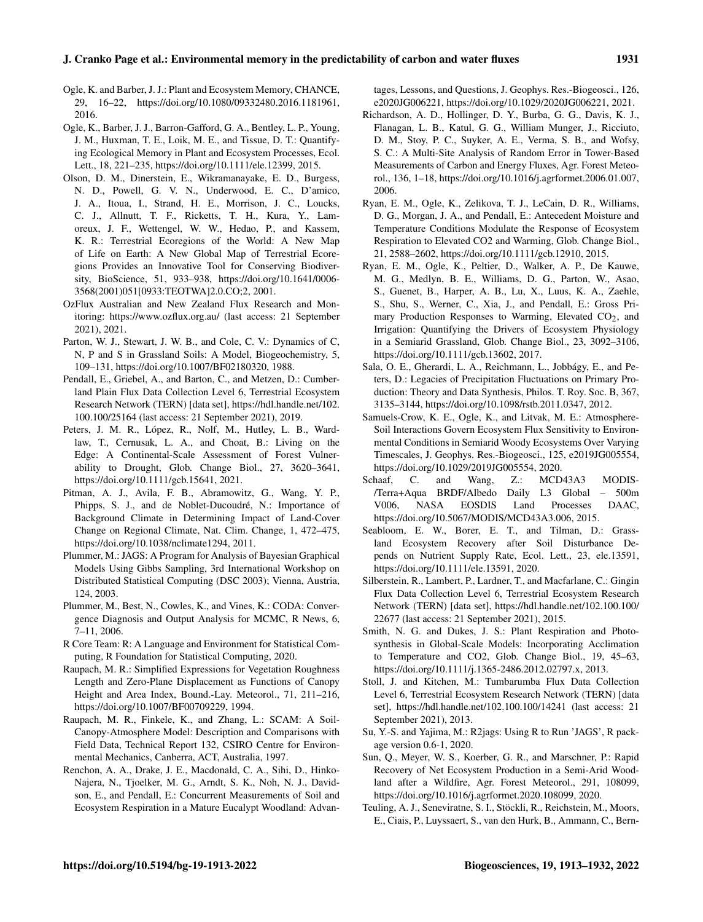- <span id="page-18-3"></span>Ogle, K. and Barber, J. J.: Plant and Ecosystem Memory, CHANCE, 29, 16–22, https://doi.org[/10.1080/09332480.2016.1181961,](https://doi.org/10.1080/09332480.2016.1181961) 2016.
- <span id="page-18-5"></span>Ogle, K., Barber, J. J., Barron-Gafford, G. A., Bentley, L. P., Young, J. M., Huxman, T. E., Loik, M. E., and Tissue, D. T.: Quantifying Ecological Memory in Plant and Ecosystem Processes, Ecol. Lett., 18, 221–235, https://doi.org[/10.1111/ele.12399,](https://doi.org/10.1111/ele.12399) 2015.
- <span id="page-18-10"></span>Olson, D. M., Dinerstein, E., Wikramanayake, E. D., Burgess, N. D., Powell, G. V. N., Underwood, E. C., D'amico, J. A., Itoua, I., Strand, H. E., Morrison, J. C., Loucks, C. J., Allnutt, T. F., Ricketts, T. H., Kura, Y., Lamoreux, J. F., Wettengel, W. W., Hedao, P., and Kassem, K. R.: Terrestrial Ecoregions of the World: A New Map of Life on Earth: A New Global Map of Terrestrial Ecoregions Provides an Innovative Tool for Conserving Biodiversity, BioScience, 51, 933–938, https://doi.org[/10.1641/0006-](https://doi.org/10.1641/0006-3568(2001)051[0933:TEOTWA]2.0.CO;2) [3568\(2001\)051\[0933:TEOTWA\]2.0.CO;2,](https://doi.org/10.1641/0006-3568(2001)051[0933:TEOTWA]2.0.CO;2) 2001.
- <span id="page-18-26"></span>OzFlux Australian and New Zealand Flux Research and Monitoring: <https://www.ozflux.org.au/> (last access: 21 September 2021), 2021.
- <span id="page-18-23"></span>Parton, W. J., Stewart, J. W. B., and Cole, C. V.: Dynamics of C, N, P and S in Grassland Soils: A Model, Biogeochemistry, 5, 109–131, https://doi.org[/10.1007/BF02180320,](https://doi.org/10.1007/BF02180320) 1988.
- <span id="page-18-11"></span>Pendall, E., Griebel, A., and Barton, C., and Metzen, D.: Cumberland Plain Flux Data Collection Level 6, Terrestrial Ecosystem Research Network (TERN) [data set], [https://hdl.handle.net/102.](https://hdl.handle.net/102.100.100/25164) [100.100/25164](https://hdl.handle.net/102.100.100/25164) (last access: 21 September 2021), 2019.
- <span id="page-18-25"></span>Peters, J. M. R., López, R., Nolf, M., Hutley, L. B., Wardlaw, T., Cernusak, L. A., and Choat, B.: Living on the Edge: A Continental-Scale Assessment of Forest Vulnerability to Drought, Glob. Change Biol., 27, 3620–3641, https://doi.org[/10.1111/gcb.15641,](https://doi.org/10.1111/gcb.15641) 2021.
- <span id="page-18-20"></span>Pitman, A. J., Avila, F. B., Abramowitz, G., Wang, Y. P., Phipps, S. J., and de Noblet-Ducoudré, N.: Importance of Background Climate in Determining Impact of Land-Cover Change on Regional Climate, Nat. Clim. Change, 1, 472–475, https://doi.org[/10.1038/nclimate1294,](https://doi.org/10.1038/nclimate1294) 2011.
- <span id="page-18-16"></span>Plummer, M.: JAGS: A Program for Analysis of Bayesian Graphical Models Using Gibbs Sampling, 3rd International Workshop on Distributed Statistical Computing (DSC 2003); Vienna, Austria, 124, 2003.
- <span id="page-18-19"></span>Plummer, M., Best, N., Cowles, K., and Vines, K.: CODA: Convergence Diagnosis and Output Analysis for MCMC, R News, 6, 7–11, 2006.
- <span id="page-18-17"></span>R Core Team: R: A Language and Environment for Statistical Computing, R Foundation for Statistical Computing, 2020.
- <span id="page-18-21"></span>Raupach, M. R.: Simplified Expressions for Vegetation Roughness Length and Zero-Plane Displacement as Functions of Canopy Height and Area Index, Bound.-Lay. Meteorol., 71, 211–216, https://doi.org[/10.1007/BF00709229,](https://doi.org/10.1007/BF00709229) 1994.
- <span id="page-18-22"></span>Raupach, M. R., Finkele, K., and Zhang, L.: SCAM: A Soil-Canopy-Atmosphere Model: Description and Comparisons with Field Data, Technical Report 132, CSIRO Centre for Environmental Mechanics, Canberra, ACT, Australia, 1997.
- <span id="page-18-9"></span>Renchon, A. A., Drake, J. E., Macdonald, C. A., Sihi, D., Hinko-Najera, N., Tjoelker, M. G., Arndt, S. K., Noh, N. J., Davidson, E., and Pendall, E.: Concurrent Measurements of Soil and Ecosystem Respiration in a Mature Eucalypt Woodland: Advan-

tages, Lessons, and Questions, J. Geophys. Res.-Biogeosci., 126, e2020JG006221, https://doi.org[/10.1029/2020JG006221,](https://doi.org/10.1029/2020JG006221) 2021.

- <span id="page-18-15"></span>Richardson, A. D., Hollinger, D. Y., Burba, G. G., Davis, K. J., Flanagan, L. B., Katul, G. G., William Munger, J., Ricciuto, D. M., Stoy, P. C., Suyker, A. E., Verma, S. B., and Wofsy, S. C.: A Multi-Site Analysis of Random Error in Tower-Based Measurements of Carbon and Energy Fluxes, Agr. Forest Meteorol., 136, 1–18, https://doi.org[/10.1016/j.agrformet.2006.01.007,](https://doi.org/10.1016/j.agrformet.2006.01.007) 2006.
- <span id="page-18-6"></span>Ryan, E. M., Ogle, K., Zelikova, T. J., LeCain, D. R., Williams, D. G., Morgan, J. A., and Pendall, E.: Antecedent Moisture and Temperature Conditions Modulate the Response of Ecosystem Respiration to Elevated CO2 and Warming, Glob. Change Biol., 21, 2588–2602, https://doi.org[/10.1111/gcb.12910,](https://doi.org/10.1111/gcb.12910) 2015.
- <span id="page-18-7"></span>Ryan, E. M., Ogle, K., Peltier, D., Walker, A. P., De Kauwe, M. G., Medlyn, B. E., Williams, D. G., Parton, W., Asao, S., Guenet, B., Harper, A. B., Lu, X., Luus, K. A., Zaehle, S., Shu, S., Werner, C., Xia, J., and Pendall, E.: Gross Primary Production Responses to Warming, Elevated  $CO<sub>2</sub>$ , and Irrigation: Quantifying the Drivers of Ecosystem Physiology in a Semiarid Grassland, Glob. Change Biol., 23, 3092–3106, https://doi.org[/10.1111/gcb.13602,](https://doi.org/10.1111/gcb.13602) 2017.
- <span id="page-18-2"></span>Sala, O. E., Gherardi, L. A., Reichmann, L., Jobbágy, E., and Peters, D.: Legacies of Precipitation Fluctuations on Primary Production: Theory and Data Synthesis, Philos. T. Roy. Soc. B, 367, 3135–3144, https://doi.org[/10.1098/rstb.2011.0347,](https://doi.org/10.1098/rstb.2011.0347) 2012.
- <span id="page-18-8"></span>Samuels-Crow, K. E., Ogle, K., and Litvak, M. E.: Atmosphere-Soil Interactions Govern Ecosystem Flux Sensitivity to Environmental Conditions in Semiarid Woody Ecosystems Over Varying Timescales, J. Geophys. Res.-Biogeosci., 125, e2019JG005554, https://doi.org[/10.1029/2019JG005554,](https://doi.org/10.1029/2019JG005554) 2020.
- <span id="page-18-14"></span>Schaaf, C. and Wang, Z.: MCD43A3 MODIS-/Terra+Aqua BRDF/Albedo Daily L3 Global – 500m V006, NASA EOSDIS Land Processes DAAC, https://doi.org[/10.5067/MODIS/MCD43A3.006,](https://doi.org/10.5067/MODIS/MCD43A3.006) 2015.
- <span id="page-18-1"></span>Seabloom, E. W., Borer, E. T., and Tilman, D.: Grassland Ecosystem Recovery after Soil Disturbance Depends on Nutrient Supply Rate, Ecol. Lett., 23, ele.13591, https://doi.org[/10.1111/ele.13591,](https://doi.org/10.1111/ele.13591) 2020.
- <span id="page-18-12"></span>Silberstein, R., Lambert, P., Lardner, T., and Macfarlane, C.: Gingin Flux Data Collection Level 6, Terrestrial Ecosystem Research Network (TERN) [data set], [https://hdl.handle.net/102.100.100/](https://hdl.handle.net/102.100.100/22677) [22677](https://hdl.handle.net/102.100.100/22677) (last access: 21 September 2021), 2015.
- <span id="page-18-4"></span>Smith, N. G. and Dukes, J. S.: Plant Respiration and Photosynthesis in Global-Scale Models: Incorporating Acclimation to Temperature and CO2, Glob. Change Biol., 19, 45–63, https://doi.org[/10.1111/j.1365-2486.2012.02797.x,](https://doi.org/10.1111/j.1365-2486.2012.02797.x) 2013.
- <span id="page-18-13"></span>Stoll, J. and Kitchen, M.: Tumbarumba Flux Data Collection Level 6, Terrestrial Ecosystem Research Network (TERN) [data set], <https://hdl.handle.net/102.100.100/14241> (last access: 21 September 2021), 2013.
- <span id="page-18-18"></span>Su, Y.-S. and Yajima, M.: R2jags: Using R to Run 'JAGS', R package version 0.6-1, 2020.
- <span id="page-18-0"></span>Sun, Q., Meyer, W. S., Koerber, G. R., and Marschner, P.: Rapid Recovery of Net Ecosystem Production in a Semi-Arid Woodland after a Wildfire, Agr. Forest Meteorol., 291, 108099, https://doi.org[/10.1016/j.agrformet.2020.108099,](https://doi.org/10.1016/j.agrformet.2020.108099) 2020.
- <span id="page-18-24"></span>Teuling, A. J., Seneviratne, S. I., Stöckli, R., Reichstein, M., Moors, E., Ciais, P., Luyssaert, S., van den Hurk, B., Ammann, C., Bern-